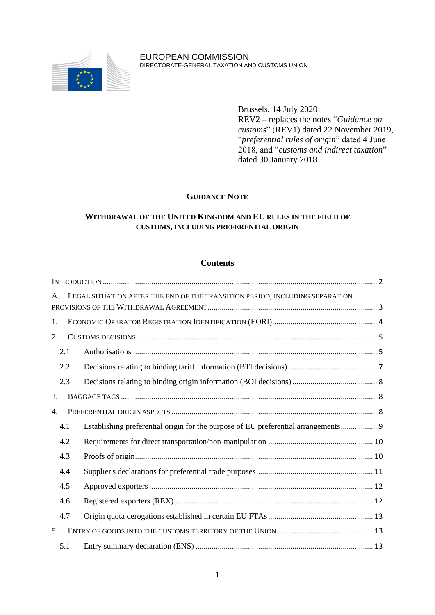

EUROPEAN COMMISSION DIRECTORATE-GENERAL TAXATION AND CUSTOMS UNION

> Brussels, 14 July 2020 REV2 – replaces the notes "*Guidance on customs*" (REV1) dated 22 November 2019, "*preferential rules of origin*" dated 4 June 2018, and "*customs and indirect taxation*" dated 30 January 2018

## **GUIDANCE NOTE**

# **WITHDRAWAL OF THE UNITED KINGDOM AND EU RULES IN THE FIELD OF CUSTOMS, INCLUDING PREFERENTIAL ORIGIN**

### **Contents**

| $\mathsf{A}$ . | LEGAL SITUATION AFTER THE END OF THE TRANSITION PERIOD, INCLUDING SEPARATION     |  |  |
|----------------|----------------------------------------------------------------------------------|--|--|
| 1.             |                                                                                  |  |  |
| 2.             |                                                                                  |  |  |
| 2.1            |                                                                                  |  |  |
| 2.2            |                                                                                  |  |  |
| 2.3            |                                                                                  |  |  |
| 3.             |                                                                                  |  |  |
| 4.             |                                                                                  |  |  |
| 4.1            | Establishing preferential origin for the purpose of EU preferential arrangements |  |  |
| 4.2            |                                                                                  |  |  |
| 4.3            |                                                                                  |  |  |
| 4.4            |                                                                                  |  |  |
| 4.5            |                                                                                  |  |  |
| 4.6            |                                                                                  |  |  |
| 4.7            |                                                                                  |  |  |
| 5.             |                                                                                  |  |  |
| 5.1            |                                                                                  |  |  |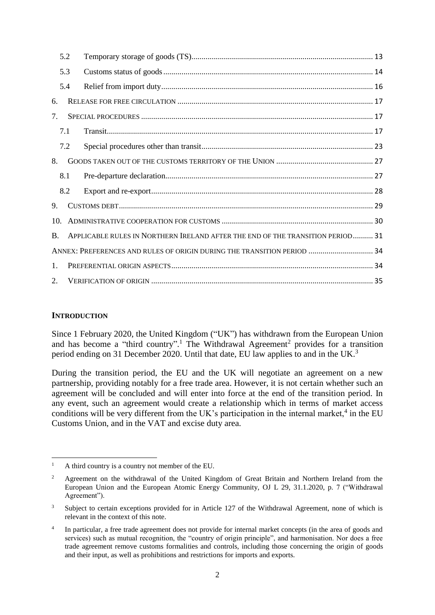|                 | 5.2 |                                                                                |  |
|-----------------|-----|--------------------------------------------------------------------------------|--|
|                 | 5.3 |                                                                                |  |
|                 | 5.4 |                                                                                |  |
| 6.              |     |                                                                                |  |
| 7.              |     |                                                                                |  |
|                 | 7.1 |                                                                                |  |
|                 | 7.2 |                                                                                |  |
| 8.              |     |                                                                                |  |
|                 | 8.1 |                                                                                |  |
|                 | 8.2 |                                                                                |  |
| 9 <sub>1</sub>  |     |                                                                                |  |
| 10 <sub>1</sub> |     |                                                                                |  |
| $\mathbf{B}$ .  |     | APPLICABLE RULES IN NORTHERN IRELAND AFTER THE END OF THE TRANSITION PERIOD 31 |  |
|                 |     | ANNEX: PREFERENCES AND RULES OF ORIGIN DURING THE TRANSITION PERIOD  34        |  |
| $\mathbf{1}$ .  |     |                                                                                |  |
| 2.              |     |                                                                                |  |

### <span id="page-1-0"></span>**INTRODUCTION**

Since 1 February 2020, the United Kingdom ("UK") has withdrawn from the European Union and has become a "third country".<sup>1</sup> The Withdrawal Agreement<sup>2</sup> provides for a transition period ending on 31 December 2020. Until that date, EU law applies to and in the UK.<sup>3</sup>

During the transition period, the EU and the UK will negotiate an agreement on a new partnership, providing notably for a free trade area. However, it is not certain whether such an agreement will be concluded and will enter into force at the end of the transition period. In any event, such an agreement would create a relationship which in terms of market access conditions will be very different from the UK's participation in the internal market, $4$  in the EU Customs Union, and in the VAT and excise duty area.

**<sup>.</sup>** <sup>1</sup> A third country is a country not member of the EU.

<sup>&</sup>lt;sup>2</sup> Agreement on the withdrawal of the United Kingdom of Great Britain and Northern Ireland from the European Union and the European Atomic Energy Community, OJ L 29, 31.1.2020, p. 7 ("Withdrawal Agreement").

<sup>&</sup>lt;sup>3</sup> Subject to certain exceptions provided for in Article 127 of the Withdrawal Agreement, none of which is relevant in the context of this note.

<sup>4</sup> In particular, a free trade agreement does not provide for internal market concepts (in the area of goods and services) such as mutual recognition, the "country of origin principle", and harmonisation. Nor does a free trade agreement remove customs formalities and controls, including those concerning the origin of goods and their input, as well as prohibitions and restrictions for imports and exports.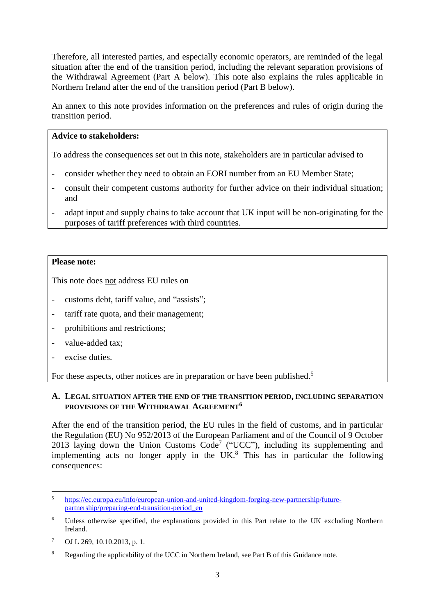Therefore, all interested parties, and especially economic operators, are reminded of the legal situation after the end of the transition period, including the relevant separation provisions of the Withdrawal Agreement (Part A below). This note also explains the rules applicable in Northern Ireland after the end of the transition period (Part B below).

An annex to this note provides information on the preferences and rules of origin during the transition period.

# **Advice to stakeholders:**

To address the consequences set out in this note, stakeholders are in particular advised to

- consider whether they need to obtain an EORI number from an EU Member State;
- consult their competent customs authority for further advice on their individual situation; and
- adapt input and supply chains to take account that UK input will be non-originating for the purposes of tariff preferences with third countries.

## **Please note:**

This note does not address EU rules on

- customs debt, tariff value, and "assists";
- tariff rate quota, and their management;
- prohibitions and restrictions;
- value-added tax:
- excise duties.

For these aspects, other notices are in preparation or have been published.<sup>5</sup>

### <span id="page-2-0"></span>**A. LEGAL SITUATION AFTER THE END OF THE TRANSITION PERIOD, INCLUDING SEPARATION PROVISIONS OF THE WITHDRAWAL AGREEMENT<sup>6</sup>**

After the end of the transition period, the EU rules in the field of customs, and in particular the Regulation (EU) No 952/2013 of the European Parliament and of the Council of 9 October 2013 laying down the Union Customs  $Code^7$  ("UCC"), including its supplementing and implementing acts no longer apply in the  $UK<sup>8</sup>$ . This has in particular the following consequences:

 $\overline{a}$ 

<sup>5</sup> [https://ec.europa.eu/info/european-union-and-united-kingdom-forging-new-partnership/future](https://ec.europa.eu/info/european-union-and-united-kingdom-forging-new-partnership/future-partnership/preparing-end-transition-period_en)[partnership/preparing-end-transition-period\\_en](https://ec.europa.eu/info/european-union-and-united-kingdom-forging-new-partnership/future-partnership/preparing-end-transition-period_en)

<sup>6</sup> Unless otherwise specified, the explanations provided in this Part relate to the UK excluding Northern Ireland.

<sup>7</sup> OJ L 269, 10.10.2013, p. 1.

<sup>8</sup> Regarding the applicability of the UCC in Northern Ireland, see Part B of this Guidance note.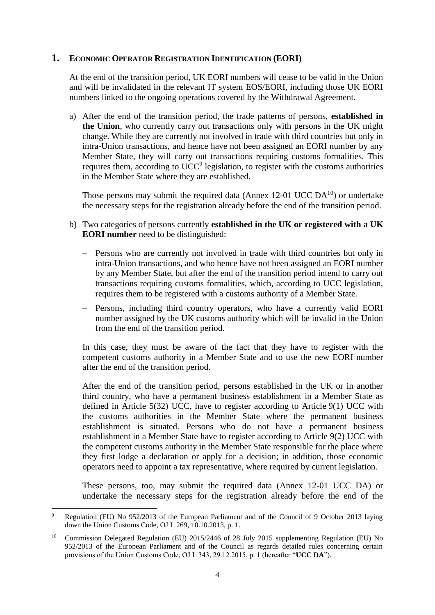### <span id="page-3-0"></span>**1. ECONOMIC OPERATOR REGISTRATION IDENTIFICATION (EORI)**

At the end of the transition period, UK EORI numbers will cease to be valid in the Union and will be invalidated in the relevant IT system EOS/EORI, including those UK EORI numbers linked to the ongoing operations covered by the Withdrawal Agreement.

a) After the end of the transition period, the trade patterns of persons, **established in the Union**, who currently carry out transactions only with persons in the UK might change. While they are currently not involved in trade with third countries but only in intra-Union transactions, and hence have not been assigned an EORI number by any Member State, they will carry out transactions requiring customs formalities. This requires them, according to  $UCC<sup>9</sup>$  legislation, to register with the customs authorities in the Member State where they are established.

Those persons may submit the required data (Annex  $12{\text -}01$  UCC DA<sup>10</sup>) or undertake the necessary steps for the registration already before the end of the transition period.

- b) Two categories of persons currently **established in the UK or registered with a UK EORI number** need to be distinguished:
	- Persons who are currently not involved in trade with third countries but only in intra-Union transactions, and who hence have not been assigned an EORI number by any Member State, but after the end of the transition period intend to carry out transactions requiring customs formalities, which, according to UCC legislation, requires them to be registered with a customs authority of a Member State.
	- Persons, including third country operators, who have a currently valid EORI number assigned by the UK customs authority which will be invalid in the Union from the end of the transition period.

In this case, they must be aware of the fact that they have to register with the competent customs authority in a Member State and to use the new EORI number after the end of the transition period.

After the end of the transition period, persons established in the UK or in another third country, who have a permanent business establishment in a Member State as defined in Article 5(32) UCC, have to register according to Article 9(1) UCC with the customs authorities in the Member State where the permanent business establishment is situated. Persons who do not have a permanent business establishment in a Member State have to register according to Article 9(2) UCC with the competent customs authority in the Member State responsible for the place where they first lodge a declaration or apply for a decision; in addition, those economic operators need to appoint a tax representative, where required by current legislation.

These persons, too, may submit the required data (Annex 12-01 UCC DA) or undertake the necessary steps for the registration already before the end of the

1

<sup>9</sup> Regulation (EU) No 952/2013 of the European Parliament and of the Council of 9 October 2013 laying down the Union Customs Code, OJ L 269, 10.10.2013, p. 1.

<sup>10</sup> Commission Delegated Regulation (EU) 2015/2446 of 28 July 2015 supplementing Regulation (EU) No 952/2013 of the European Parliament and of the Council as regards detailed rules concerning certain provisions of the Union Customs Code, OJ L 343, 29.12.2015, p. 1 (hereafter "**UCC DA**").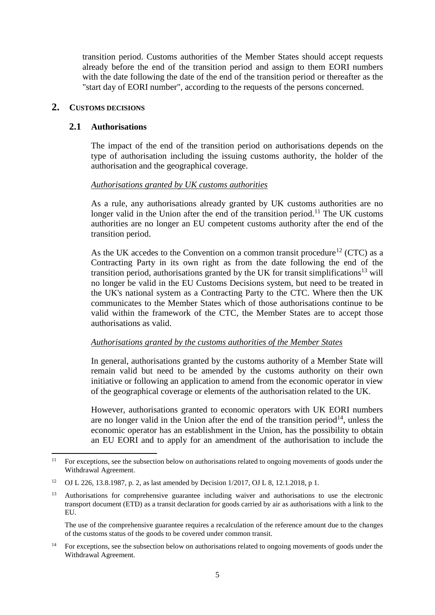transition period. Customs authorities of the Member States should accept requests already before the end of the transition period and assign to them EORI numbers with the date following the date of the end of the transition period or thereafter as the "start day of EORI number", according to the requests of the persons concerned.

# <span id="page-4-1"></span><span id="page-4-0"></span>**2. CUSTOMS DECISIONS**

## **2.1 Authorisations**

The impact of the end of the transition period on authorisations depends on the type of authorisation including the issuing customs authority, the holder of the authorisation and the geographical coverage.

### *Authorisations granted by UK customs authorities*

As a rule, any authorisations already granted by UK customs authorities are no longer valid in the Union after the end of the transition period.<sup>11</sup> The UK customs authorities are no longer an EU competent customs authority after the end of the transition period.

As the UK accedes to the Convention on a common transit procedure<sup>12</sup> (CTC) as a Contracting Party in its own right as from the date following the end of the transition period, authorisations granted by the UK for transit simplifications<sup>13</sup> will no longer be valid in the EU Customs Decisions system, but need to be treated in the UK's national system as a Contracting Party to the CTC. Where then the UK communicates to the Member States which of those authorisations continue to be valid within the framework of the CTC, the Member States are to accept those authorisations as valid.

### *Authorisations granted by the customs authorities of the Member States*

In general, authorisations granted by the customs authority of a Member State will remain valid but need to be amended by the customs authority on their own initiative or following an application to amend from the economic operator in view of the geographical coverage or elements of the authorisation related to the UK.

However, authorisations granted to economic operators with UK EORI numbers are no longer valid in the Union after the end of the transition period<sup>14</sup>, unless the economic operator has an establishment in the Union, has the possibility to obtain an EU EORI and to apply for an amendment of the authorisation to include the

The use of the comprehensive guarantee requires a recalculation of the reference amount due to the changes of the customs status of the goods to be covered under common transit.

<sup>14</sup> For exceptions, see the subsection below on authorisations related to ongoing movements of goods under the Withdrawal Agreement.

**<sup>.</sup>** <sup>11</sup> For exceptions, see the subsection below on authorisations related to ongoing movements of goods under the Withdrawal Agreement.

<sup>12</sup> OJ L 226, 13.8.1987, p. 2, as last amended by Decision 1/2017, OJ L 8, 12.1.2018, p 1.

<sup>&</sup>lt;sup>13</sup> Authorisations for comprehensive guarantee including waiver and authorisations to use the electronic transport document (ETD) as a transit declaration for goods carried by air as authorisations with a link to the EU.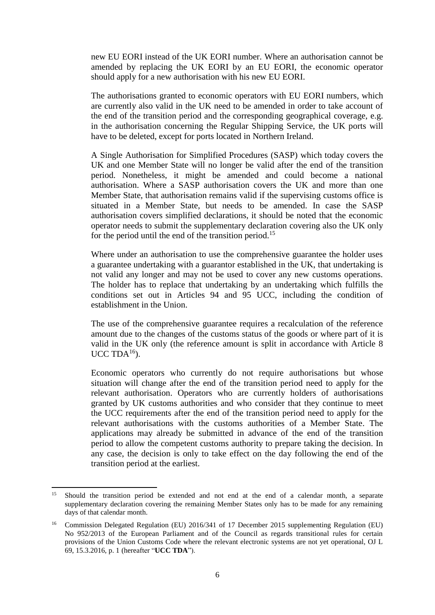new EU EORI instead of the UK EORI number. Where an authorisation cannot be amended by replacing the UK EORI by an EU EORI, the economic operator should apply for a new authorisation with his new EU EORI.

The authorisations granted to economic operators with EU EORI numbers, which are currently also valid in the UK need to be amended in order to take account of the end of the transition period and the corresponding geographical coverage, e.g. in the authorisation concerning the Regular Shipping Service, the UK ports will have to be deleted, except for ports located in Northern Ireland.

A Single Authorisation for Simplified Procedures (SASP) which today covers the UK and one Member State will no longer be valid after the end of the transition period. Nonetheless, it might be amended and could become a national authorisation. Where a SASP authorisation covers the UK and more than one Member State, that authorisation remains valid if the supervising customs office is situated in a Member State, but needs to be amended. In case the SASP authorisation covers simplified declarations, it should be noted that the economic operator needs to submit the supplementary declaration covering also the UK only for the period until the end of the transition period.<sup>15</sup>

Where under an authorisation to use the comprehensive guarantee the holder uses a guarantee undertaking with a guarantor established in the UK, that undertaking is not valid any longer and may not be used to cover any new customs operations. The holder has to replace that undertaking by an undertaking which fulfills the conditions set out in Articles 94 and 95 UCC, including the condition of establishment in the Union.

The use of the comprehensive guarantee requires a recalculation of the reference amount due to the changes of the customs status of the goods or where part of it is valid in the UK only (the reference amount is split in accordance with Article 8  $UCC TDA<sup>16</sup>$ ).

Economic operators who currently do not require authorisations but whose situation will change after the end of the transition period need to apply for the relevant authorisation. Operators who are currently holders of authorisations granted by UK customs authorities and who consider that they continue to meet the UCC requirements after the end of the transition period need to apply for the relevant authorisations with the customs authorities of a Member State. The applications may already be submitted in advance of the end of the transition period to allow the competent customs authority to prepare taking the decision. In any case, the decision is only to take effect on the day following the end of the transition period at the earliest.

**.** 

<sup>&</sup>lt;sup>15</sup> Should the transition period be extended and not end at the end of a calendar month, a separate supplementary declaration covering the remaining Member States only has to be made for any remaining days of that calendar month.

<sup>&</sup>lt;sup>16</sup> Commission Delegated Regulation (EU) 2016/341 of 17 December 2015 supplementing Regulation (EU) No 952/2013 of the European Parliament and of the Council as regards transitional rules for certain provisions of the Union Customs Code where the relevant electronic systems are not yet operational, OJ L 69, 15.3.2016, p. 1 (hereafter "**UCC TDA**").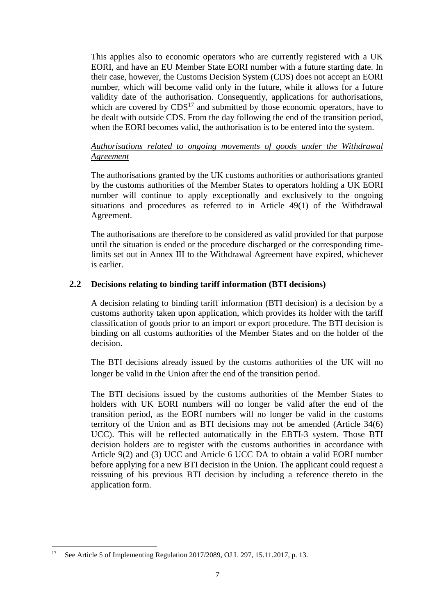This applies also to economic operators who are currently registered with a UK EORI, and have an EU Member State EORI number with a future starting date. In their case, however, the Customs Decision System (CDS) does not accept an EORI number, which will become valid only in the future, while it allows for a future validity date of the authorisation. Consequently, applications for authorisations, which are covered by  $CDS^{17}$  and submitted by those economic operators, have to be dealt with outside CDS. From the day following the end of the transition period, when the EORI becomes valid, the authorisation is to be entered into the system.

# *Authorisations related to ongoing movements of goods under the Withdrawal Agreement*

The authorisations granted by the UK customs authorities or authorisations granted by the customs authorities of the Member States to operators holding a UK EORI number will continue to apply exceptionally and exclusively to the ongoing situations and procedures as referred to in Article 49(1) of the Withdrawal Agreement.

The authorisations are therefore to be considered as valid provided for that purpose until the situation is ended or the procedure discharged or the corresponding timelimits set out in Annex III to the Withdrawal Agreement have expired, whichever is earlier.

# <span id="page-6-0"></span>**2.2 Decisions relating to binding tariff information (BTI decisions)**

A decision relating to binding tariff information (BTI decision) is a decision by a customs authority taken upon application, which provides its holder with the tariff classification of goods prior to an import or export procedure. The BTI decision is binding on all customs authorities of the Member States and on the holder of the decision.

The BTI decisions already issued by the customs authorities of the UK will no longer be valid in the Union after the end of the transition period.

The BTI decisions issued by the customs authorities of the Member States to holders with UK EORI numbers will no longer be valid after the end of the transition period, as the EORI numbers will no longer be valid in the customs territory of the Union and as BTI decisions may not be amended (Article 34(6) UCC). This will be reflected automatically in the EBTI-3 system. Those BTI decision holders are to register with the customs authorities in accordance with Article 9(2) and (3) UCC and Article 6 UCC DA to obtain a valid EORI number before applying for a new BTI decision in the Union. The applicant could request a reissuing of his previous BTI decision by including a reference thereto in the application form.

<sup>1</sup> <sup>17</sup> See Article 5 of Implementing Regulation 2017/2089, OJ L 297, 15.11.2017, p. 13.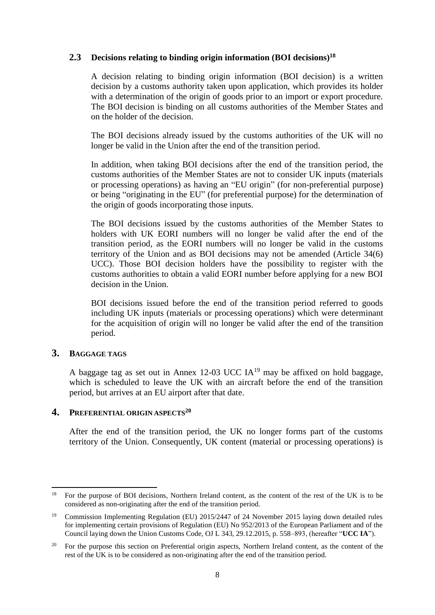# <span id="page-7-0"></span>**2.3 Decisions relating to binding origin information (BOI decisions) 18**

A decision relating to binding origin information (BOI decision) is a written decision by a customs authority taken upon application, which provides its holder with a determination of the origin of goods prior to an import or export procedure. The BOI decision is binding on all customs authorities of the Member States and on the holder of the decision.

The BOI decisions already issued by the customs authorities of the UK will no longer be valid in the Union after the end of the transition period.

In addition, when taking BOI decisions after the end of the transition period, the customs authorities of the Member States are not to consider UK inputs (materials or processing operations) as having an "EU origin" (for non-preferential purpose) or being "originating in the EU" (for preferential purpose) for the determination of the origin of goods incorporating those inputs.

The BOI decisions issued by the customs authorities of the Member States to holders with UK EORI numbers will no longer be valid after the end of the transition period, as the EORI numbers will no longer be valid in the customs territory of the Union and as BOI decisions may not be amended (Article 34(6) UCC). Those BOI decision holders have the possibility to register with the customs authorities to obtain a valid EORI number before applying for a new BOI decision in the Union.

BOI decisions issued before the end of the transition period referred to goods including UK inputs (materials or processing operations) which were determinant for the acquisition of origin will no longer be valid after the end of the transition period.

### <span id="page-7-1"></span>**3. BAGGAGE TAGS**

A baggage tag as set out in Annex 12-03 UCC  $IA^{19}$  may be affixed on hold baggage, which is scheduled to leave the UK with an aircraft before the end of the transition period, but arrives at an EU airport after that date.

### <span id="page-7-2"></span>**4. PREFERENTIAL ORIGIN ASPECTS<sup>20</sup>**

After the end of the transition period, the UK no longer forms part of the customs territory of the Union. Consequently, UK content (material or processing operations) is

**<sup>.</sup>** <sup>18</sup> For the purpose of BOI decisions, Northern Ireland content, as the content of the rest of the UK is to be considered as non-originating after the end of the transition period.

<sup>19</sup> Commission Implementing Regulation (EU) 2015/2447 of 24 November 2015 laying down detailed rules for implementing certain provisions of Regulation (EU) No 952/2013 of the European Parliament and of the Council laying down the Union Customs Code, OJ L 343, 29.12.2015, p. 558–893, (hereafter "**UCC IA**").

<sup>&</sup>lt;sup>20</sup> For the purpose this section on Preferential origin aspects, Northern Ireland content, as the content of the rest of the UK is to be considered as non-originating after the end of the transition period.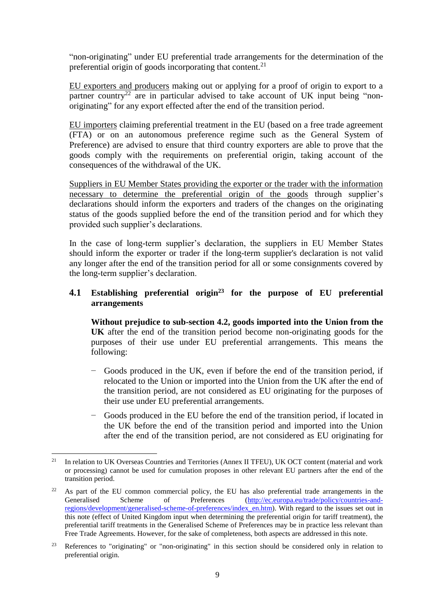"non-originating" under EU preferential trade arrangements for the determination of the preferential origin of goods incorporating that content.<sup>21</sup>

EU exporters and producers making out or applying for a proof of origin to export to a partner country<sup>22</sup> are in particular advised to take account of UK input being "nonoriginating" for any export effected after the end of the transition period.

EU importers claiming preferential treatment in the EU (based on a free trade agreement (FTA) or on an autonomous preference regime such as the General System of Preference) are advised to ensure that third country exporters are able to prove that the goods comply with the requirements on preferential origin, taking account of the consequences of the withdrawal of the UK.

Suppliers in EU Member States providing the exporter or the trader with the information necessary to determine the preferential origin of the goods through supplier's declarations should inform the exporters and traders of the changes on the originating status of the goods supplied before the end of the transition period and for which they provided such supplier's declarations.

In the case of long-term supplier's declaration, the suppliers in EU Member States should inform the exporter or trader if the long-term supplier's declaration is not valid any longer after the end of the transition period for all or some consignments covered by the long-term supplier's declaration.

# <span id="page-8-0"></span>**4.1 Establishing preferential origin<sup>23</sup> for the purpose of EU preferential arrangements**

**Without prejudice to sub-section 4.2, goods imported into the Union from the UK** after the end of the transition period become non-originating goods for the purposes of their use under EU preferential arrangements. This means the following:

- − Goods produced in the UK, even if before the end of the transition period, if relocated to the Union or imported into the Union from the UK after the end of the transition period, are not considered as EU originating for the purposes of their use under EU preferential arrangements.
- − Goods produced in the EU before the end of the transition period, if located in the UK before the end of the transition period and imported into the Union after the end of the transition period, are not considered as EU originating for

 $21$ <sup>21</sup> In relation to UK Overseas Countries and Territories (Annex II TFEU), UK OCT content (material and work or processing) cannot be used for cumulation proposes in other relevant EU partners after the end of the transition period.

 $22$  As part of the EU common commercial policy, the EU has also preferential trade arrangements in the Generalised Scheme of Preferences [\(http://ec.europa.eu/trade/policy/countries-and](http://ec.europa.eu/trade/policy/countries-and-regions/development/generalised-scheme-of-preferences/index_en.htm)[regions/development/generalised-scheme-of-preferences/index\\_en.htm\)](http://ec.europa.eu/trade/policy/countries-and-regions/development/generalised-scheme-of-preferences/index_en.htm). With regard to the issues set out in this note (effect of United Kingdom input when determining the preferential origin for tariff treatment), the preferential tariff treatments in the Generalised Scheme of Preferences may be in practice less relevant than Free Trade Agreements. However, for the sake of completeness, both aspects are addressed in this note.

<sup>&</sup>lt;sup>23</sup> References to "originating" or "non-originating" in this section should be considered only in relation to preferential origin.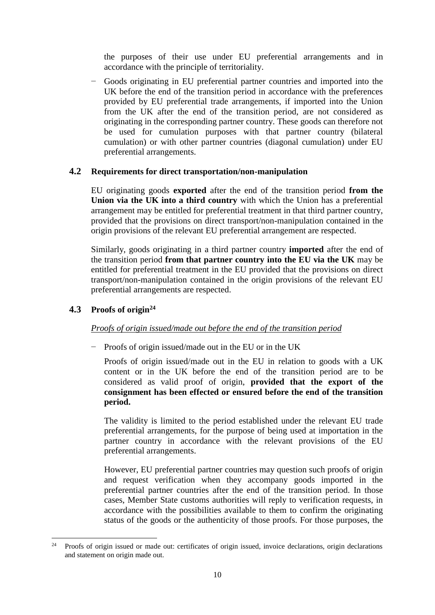the purposes of their use under EU preferential arrangements and in accordance with the principle of territoriality.

− Goods originating in EU preferential partner countries and imported into the UK before the end of the transition period in accordance with the preferences provided by EU preferential trade arrangements, if imported into the Union from the UK after the end of the transition period, are not considered as originating in the corresponding partner country. These goods can therefore not be used for cumulation purposes with that partner country (bilateral cumulation) or with other partner countries (diagonal cumulation) under EU preferential arrangements.

### <span id="page-9-0"></span>**4.2 Requirements for direct transportation/non-manipulation**

EU originating goods **exported** after the end of the transition period **from the Union via the UK into a third country** with which the Union has a preferential arrangement may be entitled for preferential treatment in that third partner country, provided that the provisions on direct transport/non-manipulation contained in the origin provisions of the relevant EU preferential arrangement are respected.

Similarly, goods originating in a third partner country **imported** after the end of the transition period **from that partner country into the EU via the UK** may be entitled for preferential treatment in the EU provided that the provisions on direct transport/non-manipulation contained in the origin provisions of the relevant EU preferential arrangements are respected.

# <span id="page-9-1"></span>**4.3 Proofs of origin<sup>24</sup>**

# *Proofs of origin issued/made out before the end of the transition period*

− Proofs of origin issued/made out in the EU or in the UK

Proofs of origin issued/made out in the EU in relation to goods with a UK content or in the UK before the end of the transition period are to be considered as valid proof of origin, **provided that the export of the consignment has been effected or ensured before the end of the transition period.**

The validity is limited to the period established under the relevant EU trade preferential arrangements, for the purpose of being used at importation in the partner country in accordance with the relevant provisions of the EU preferential arrangements.

However, EU preferential partner countries may question such proofs of origin and request verification when they accompany goods imported in the preferential partner countries after the end of the transition period. In those cases, Member State customs authorities will reply to verification requests, in accordance with the possibilities available to them to confirm the originating status of the goods or the authenticity of those proofs. For those purposes, the

 $24$ <sup>24</sup> Proofs of origin issued or made out: certificates of origin issued, invoice declarations, origin declarations and statement on origin made out.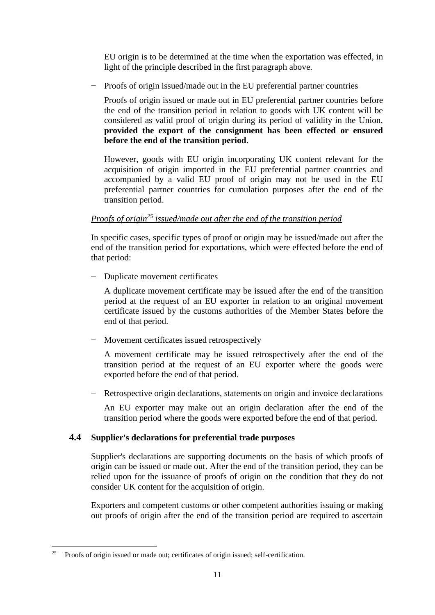EU origin is to be determined at the time when the exportation was effected, in light of the principle described in the first paragraph above.

Proofs of origin issued/made out in the EU preferential partner countries

Proofs of origin issued or made out in EU preferential partner countries before the end of the transition period in relation to goods with UK content will be considered as valid proof of origin during its period of validity in the Union, **provided the export of the consignment has been effected or ensured before the end of the transition period**.

However, goods with EU origin incorporating UK content relevant for the acquisition of origin imported in the EU preferential partner countries and accompanied by a valid EU proof of origin may not be used in the EU preferential partner countries for cumulation purposes after the end of the transition period.

# *Proofs of origin<sup>25</sup> issued/made out after the end of the transition period*

In specific cases, specific types of proof or origin may be issued/made out after the end of the transition period for exportations, which were effected before the end of that period:

− Duplicate movement certificates

A duplicate movement certificate may be issued after the end of the transition period at the request of an EU exporter in relation to an original movement certificate issued by the customs authorities of the Member States before the end of that period.

− Movement certificates issued retrospectively

A movement certificate may be issued retrospectively after the end of the transition period at the request of an EU exporter where the goods were exported before the end of that period.

Retrospective origin declarations, statements on origin and invoice declarations

An EU exporter may make out an origin declaration after the end of the transition period where the goods were exported before the end of that period.

# <span id="page-10-0"></span>**4.4 Supplier's declarations for preferential trade purposes**

Supplier's declarations are supporting documents on the basis of which proofs of origin can be issued or made out. After the end of the transition period, they can be relied upon for the issuance of proofs of origin on the condition that they do not consider UK content for the acquisition of origin.

Exporters and competent customs or other competent authorities issuing or making out proofs of origin after the end of the transition period are required to ascertain

<sup>1</sup> <sup>25</sup> Proofs of origin issued or made out; certificates of origin issued; self-certification.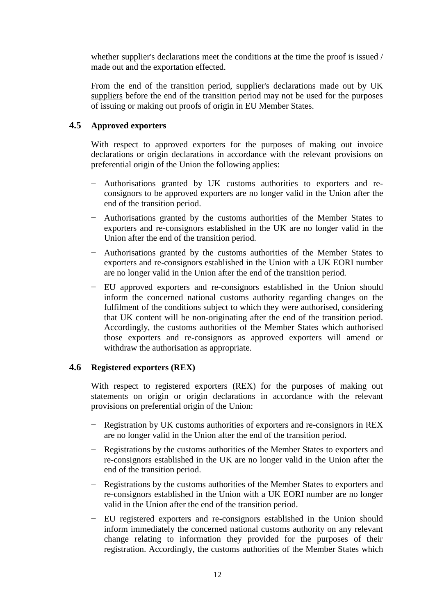whether supplier's declarations meet the conditions at the time the proof is issued / made out and the exportation effected.

From the end of the transition period, supplier's declarations made out by UK suppliers before the end of the transition period may not be used for the purposes of issuing or making out proofs of origin in EU Member States.

# <span id="page-11-0"></span>**4.5 Approved exporters**

With respect to approved exporters for the purposes of making out invoice declarations or origin declarations in accordance with the relevant provisions on preferential origin of the Union the following applies:

- − Authorisations granted by UK customs authorities to exporters and reconsignors to be approved exporters are no longer valid in the Union after the end of the transition period.
- − Authorisations granted by the customs authorities of the Member States to exporters and re-consignors established in the UK are no longer valid in the Union after the end of the transition period*.*
- − Authorisations granted by the customs authorities of the Member States to exporters and re-consignors established in the Union with a UK EORI number are no longer valid in the Union after the end of the transition period*.*
- − EU approved exporters and re-consignors established in the Union should inform the concerned national customs authority regarding changes on the fulfilment of the conditions subject to which they were authorised, considering that UK content will be non-originating after the end of the transition period. Accordingly, the customs authorities of the Member States which authorised those exporters and re-consignors as approved exporters will amend or withdraw the authorisation as appropriate.

### <span id="page-11-1"></span>**4.6 Registered exporters (REX)**

With respect to registered exporters (REX) for the purposes of making out statements on origin or origin declarations in accordance with the relevant provisions on preferential origin of the Union:

- − Registration by UK customs authorities of exporters and re-consignors in REX are no longer valid in the Union after the end of the transition period.
- − Registrations by the customs authorities of the Member States to exporters and re-consignors established in the UK are no longer valid in the Union after the end of the transition period.
- − Registrations by the customs authorities of the Member States to exporters and re-consignors established in the Union with a UK EORI number are no longer valid in the Union after the end of the transition period.
- − EU registered exporters and re-consignors established in the Union should inform immediately the concerned national customs authority on any relevant change relating to information they provided for the purposes of their registration. Accordingly, the customs authorities of the Member States which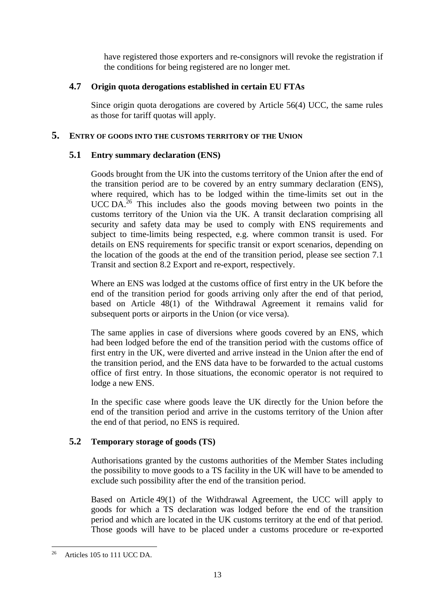have registered those exporters and re-consignors will revoke the registration if the conditions for being registered are no longer met.

# <span id="page-12-0"></span>**4.7 Origin quota derogations established in certain EU FTAs**

Since origin quota derogations are covered by Article 56(4) UCC, the same rules as those for tariff quotas will apply.

# <span id="page-12-1"></span>**5. ENTRY OF GOODS INTO THE CUSTOMS TERRITORY OF THE UNION**

# <span id="page-12-2"></span>**5.1 Entry summary declaration (ENS)**

Goods brought from the UK into the customs territory of the Union after the end of the transition period are to be covered by an entry summary declaration (ENS), where required, which has to be lodged within the time-limits set out in the UCC DA. <sup>26</sup> This includes also the goods moving between two points in the customs territory of the Union via the UK. A transit declaration comprising all security and safety data may be used to comply with ENS requirements and subject to time-limits being respected, e.g. where common transit is used. For details on ENS requirements for specific transit or export scenarios, depending on the location of the goods at the end of the transition period, please see section 7.1 Transit and section 8.2 Export and re-export, respectively.

Where an ENS was lodged at the customs office of first entry in the UK before the end of the transition period for goods arriving only after the end of that period, based on Article 48(1) of the Withdrawal Agreement it remains valid for subsequent ports or airports in the Union (or vice versa).

The same applies in case of diversions where goods covered by an ENS, which had been lodged before the end of the transition period with the customs office of first entry in the UK, were diverted and arrive instead in the Union after the end of the transition period, and the ENS data have to be forwarded to the actual customs office of first entry. In those situations, the economic operator is not required to lodge a new ENS.

In the specific case where goods leave the UK directly for the Union before the end of the transition period and arrive in the customs territory of the Union after the end of that period, no ENS is required.

# <span id="page-12-3"></span>**5.2 Temporary storage of goods (TS)**

Authorisations granted by the customs authorities of the Member States including the possibility to move goods to a TS facility in the UK will have to be amended to exclude such possibility after the end of the transition period.

Based on Article 49(1) of the Withdrawal Agreement, the UCC will apply to goods for which a TS declaration was lodged before the end of the transition period and which are located in the UK customs territory at the end of that period. Those goods will have to be placed under a customs procedure or re-exported

<sup>1</sup> <sup>26</sup> Articles 105 to 111 UCC DA.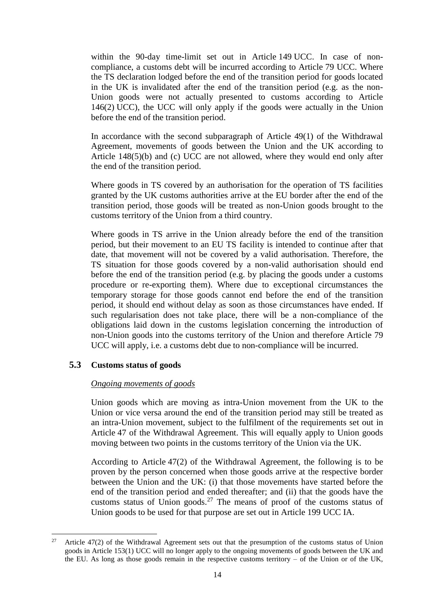within the 90-day time-limit set out in Article 149 UCC. In case of noncompliance, a customs debt will be incurred according to Article 79 UCC. Where the TS declaration lodged before the end of the transition period for goods located in the UK is invalidated after the end of the transition period (e.g. as the non-Union goods were not actually presented to customs according to Article 146(2) UCC), the UCC will only apply if the goods were actually in the Union before the end of the transition period.

In accordance with the second subparagraph of Article 49(1) of the Withdrawal Agreement, movements of goods between the Union and the UK according to Article 148(5)(b) and (c) UCC are not allowed, where they would end only after the end of the transition period.

Where goods in TS covered by an authorisation for the operation of TS facilities granted by the UK customs authorities arrive at the EU border after the end of the transition period, those goods will be treated as non-Union goods brought to the customs territory of the Union from a third country.

Where goods in TS arrive in the Union already before the end of the transition period, but their movement to an EU TS facility is intended to continue after that date, that movement will not be covered by a valid authorisation. Therefore, the TS situation for those goods covered by a non-valid authorisation should end before the end of the transition period (e.g. by placing the goods under a customs procedure or re-exporting them). Where due to exceptional circumstances the temporary storage for those goods cannot end before the end of the transition period, it should end without delay as soon as those circumstances have ended. If such regularisation does not take place, there will be a non-compliance of the obligations laid down in the customs legislation concerning the introduction of non-Union goods into the customs territory of the Union and therefore Article 79 UCC will apply, i.e. a customs debt due to non-compliance will be incurred.

# <span id="page-13-0"></span>**5.3 Customs status of goods**

### *Ongoing movements of goods*

Union goods which are moving as intra-Union movement from the UK to the Union or vice versa around the end of the transition period may still be treated as an intra-Union movement, subject to the fulfilment of the requirements set out in Article 47 of the Withdrawal Agreement. This will equally apply to Union goods moving between two points in the customs territory of the Union via the UK.

According to Article 47(2) of the Withdrawal Agreement, the following is to be proven by the person concerned when those goods arrive at the respective border between the Union and the UK: (i) that those movements have started before the end of the transition period and ended thereafter; and (ii) that the goods have the customs status of Union goods.<sup>27</sup> The means of proof of the customs status of Union goods to be used for that purpose are set out in Article 199 UCC IA.

 $27$ Article 47(2) of the Withdrawal Agreement sets out that the presumption of the customs status of Union goods in Article 153(1) UCC will no longer apply to the ongoing movements of goods between the UK and the EU. As long as those goods remain in the respective customs territory  $-$  of the Union or of the UK,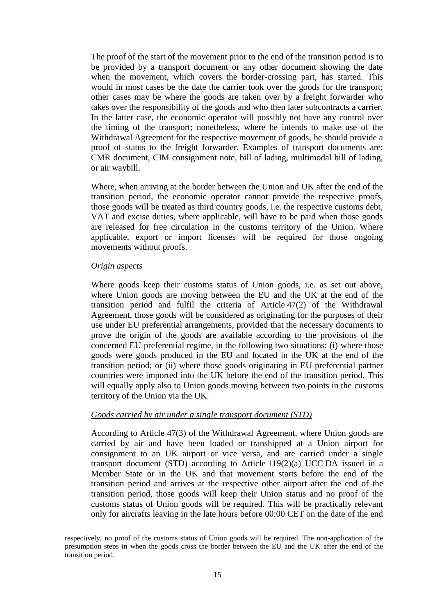The proof of the start of the movement prior to the end of the transition period is to be provided by a transport document or any other document showing the date when the movement, which covers the border-crossing part, has started. This would in most cases be the date the carrier took over the goods for the transport; other cases may be where the goods are taken over by a freight forwarder who takes over the responsibility of the goods and who then later subcontracts a carrier. In the latter case, the economic operator will possibly not have any control over the timing of the transport; nonetheless, where he intends to make use of the Withdrawal Agreement for the respective movement of goods, he should provide a proof of status to the freight forwarder. Examples of transport documents are: CMR document, CIM consignment note, bill of lading, multimodal bill of lading, or air waybill.

Where, when arriving at the border between the Union and UK after the end of the transition period, the economic operator cannot provide the respective proofs, those goods will be treated as third country goods, i.e. the respective customs debt, VAT and excise duties, where applicable, will have to be paid when those goods are released for free circulation in the customs territory of the Union. Where applicable, export or import licenses will be required for those ongoing movements without proofs.

#### *Origin aspects*

 $\overline{a}$ 

Where goods keep their customs status of Union goods, i.e. as set out above, where Union goods are moving between the EU and the UK at the end of the transition period and fulfil the criteria of Article 47(2) of the Withdrawal Agreement, those goods will be considered as originating for the purposes of their use under EU preferential arrangements, provided that the necessary documents to prove the origin of the goods are available according to the provisions of the concerned EU preferential regime, in the following two situations: (i) where those goods were goods produced in the EU and located in the UK at the end of the transition period; or (ii) where those goods originating in EU preferential partner countries were imported into the UK before the end of the transition period. This will equally apply also to Union goods moving between two points in the customs territory of the Union via the UK.

#### *Goods carried by air under a single transport document (STD)*

According to Article 47(3) of the Withdrawal Agreement, where Union goods are carried by air and have been loaded or transhipped at a Union airport for consignment to an UK airport or vice versa, and are carried under a single transport document (STD) according to Article 119(2)(a) UCC DA issued in a Member State or in the UK and that movement starts before the end of the transition period and arrives at the respective other airport after the end of the transition period, those goods will keep their Union status and no proof of the customs status of Union goods will be required. This will be practically relevant only for aircrafts leaving in the late hours before 00:00 CET on the date of the end

respectively, no proof of the customs status of Union goods will be required. The non-application of the presumption steps in when the goods cross the border between the EU and the UK after the end of the transition period.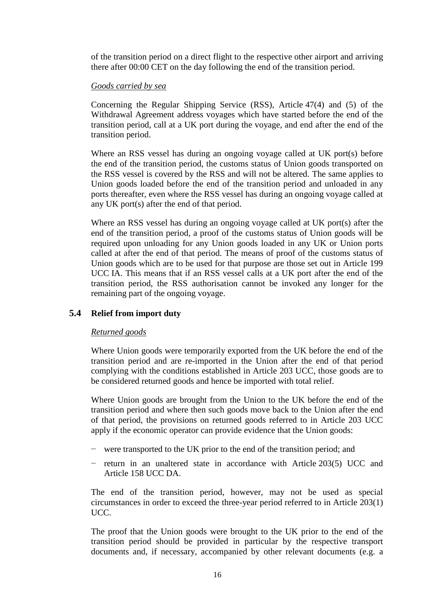of the transition period on a direct flight to the respective other airport and arriving there after 00:00 CET on the day following the end of the transition period.

### *Goods carried by sea*

Concerning the Regular Shipping Service (RSS), Article 47(4) and (5) of the Withdrawal Agreement address voyages which have started before the end of the transition period, call at a UK port during the voyage, and end after the end of the transition period.

Where an RSS vessel has during an ongoing voyage called at UK port(s) before the end of the transition period, the customs status of Union goods transported on the RSS vessel is covered by the RSS and will not be altered. The same applies to Union goods loaded before the end of the transition period and unloaded in any ports thereafter, even where the RSS vessel has during an ongoing voyage called at any UK port(s) after the end of that period.

Where an RSS vessel has during an ongoing voyage called at UK port(s) after the end of the transition period, a proof of the customs status of Union goods will be required upon unloading for any Union goods loaded in any UK or Union ports called at after the end of that period. The means of proof of the customs status of Union goods which are to be used for that purpose are those set out in Article 199 UCC IA. This means that if an RSS vessel calls at a UK port after the end of the transition period, the RSS authorisation cannot be invoked any longer for the remaining part of the ongoing voyage.

### <span id="page-15-0"></span>**5.4 Relief from import duty**

### *Returned goods*

Where Union goods were temporarily exported from the UK before the end of the transition period and are re-imported in the Union after the end of that period complying with the conditions established in Article 203 UCC, those goods are to be considered returned goods and hence be imported with total relief.

Where Union goods are brought from the Union to the UK before the end of the transition period and where then such goods move back to the Union after the end of that period, the provisions on returned goods referred to in Article 203 UCC apply if the economic operator can provide evidence that the Union goods:

- − were transported to the UK prior to the end of the transition period; and
- return in an unaltered state in accordance with Article 203(5) UCC and Article 158 UCC DA.

The end of the transition period, however, may not be used as special circumstances in order to exceed the three-year period referred to in Article 203(1) UCC.

The proof that the Union goods were brought to the UK prior to the end of the transition period should be provided in particular by the respective transport documents and, if necessary, accompanied by other relevant documents (e.g. a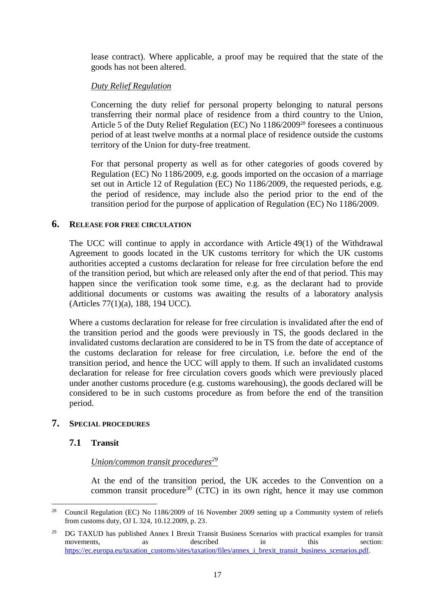lease contract). Where applicable, a proof may be required that the state of the goods has not been altered.

# *Duty Relief Regulation*

Concerning the duty relief for personal property belonging to natural persons transferring their normal place of residence from a third country to the Union, Article 5 of the Duty Relief Regulation (EC) No 1186/2009<sup>28</sup> foresees a continuous period of at least twelve months at a normal place of residence outside the customs territory of the Union for duty-free treatment.

For that personal property as well as for other categories of goods covered by Regulation (EC) No 1186/2009, e.g. goods imported on the occasion of a marriage set out in Article 12 of Regulation (EC) No 1186/2009, the requested periods, e.g. the period of residence, may include also the period prior to the end of the transition period for the purpose of application of Regulation (EC) No 1186/2009.

### <span id="page-16-0"></span>**6. RELEASE FOR FREE CIRCULATION**

The UCC will continue to apply in accordance with Article 49(1) of the Withdrawal Agreement to goods located in the UK customs territory for which the UK customs authorities accepted a customs declaration for release for free circulation before the end of the transition period, but which are released only after the end of that period. This may happen since the verification took some time, e.g. as the declarant had to provide additional documents or customs was awaiting the results of a laboratory analysis (Articles 77(1)(a), 188, 194 UCC).

Where a customs declaration for release for free circulation is invalidated after the end of the transition period and the goods were previously in TS, the goods declared in the invalidated customs declaration are considered to be in TS from the date of acceptance of the customs declaration for release for free circulation, i.e. before the end of the transition period, and hence the UCC will apply to them. If such an invalidated customs declaration for release for free circulation covers goods which were previously placed under another customs procedure (e.g. customs warehousing), the goods declared will be considered to be in such customs procedure as from before the end of the transition period.

### <span id="page-16-2"></span><span id="page-16-1"></span>**7. SPECIAL PROCEDURES**

# **7.1 Transit**

### *Union/common transit procedures<sup>29</sup>*

At the end of the transition period, the UK accedes to the Convention on a common transit procedure<sup>30</sup> (CTC) in its own right, hence it may use common

<sup>28</sup> <sup>28</sup> Council Regulation (EC) No 1186/2009 of 16 November 2009 setting up a Community system of reliefs from customs duty, OJ L 324, 10.12.2009, p. 23.

<sup>&</sup>lt;sup>29</sup> DG TAXUD has published Annex I Brexit Transit Business Scenarios with practical examples for transit movements, as described in this section: [https://ec.europa.eu/taxation\\_customs/sites/taxation/files/annex\\_i\\_brexit\\_transit\\_business\\_scenarios.pdf.](https://ec.europa.eu/taxation_customs/sites/taxation/files/annex_i_brexit_transit_business_scenarios.pdf)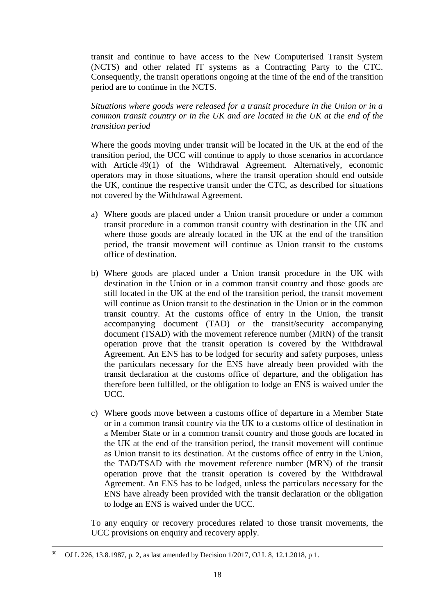transit and continue to have access to the New Computerised Transit System (NCTS) and other related IT systems as a Contracting Party to the CTC. Consequently, the transit operations ongoing at the time of the end of the transition period are to continue in the NCTS.

*Situations where goods were released for a transit procedure in the Union or in a common transit country or in the UK and are located in the UK at the end of the transition period*

Where the goods moving under transit will be located in the UK at the end of the transition period, the UCC will continue to apply to those scenarios in accordance with Article 49(1) of the Withdrawal Agreement. Alternatively, economic operators may in those situations, where the transit operation should end outside the UK, continue the respective transit under the CTC, as described for situations not covered by the Withdrawal Agreement.

- a) Where goods are placed under a Union transit procedure or under a common transit procedure in a common transit country with destination in the UK and where those goods are already located in the UK at the end of the transition period, the transit movement will continue as Union transit to the customs office of destination.
- b) Where goods are placed under a Union transit procedure in the UK with destination in the Union or in a common transit country and those goods are still located in the UK at the end of the transition period, the transit movement will continue as Union transit to the destination in the Union or in the common transit country. At the customs office of entry in the Union, the transit accompanying document (TAD) or the transit/security accompanying document (TSAD) with the movement reference number (MRN) of the transit operation prove that the transit operation is covered by the Withdrawal Agreement. An ENS has to be lodged for security and safety purposes, unless the particulars necessary for the ENS have already been provided with the transit declaration at the customs office of departure, and the obligation has therefore been fulfilled, or the obligation to lodge an ENS is waived under the UCC.
- c) Where goods move between a customs office of departure in a Member State or in a common transit country via the UK to a customs office of destination in a Member State or in a common transit country and those goods are located in the UK at the end of the transition period, the transit movement will continue as Union transit to its destination. At the customs office of entry in the Union, the TAD/TSAD with the movement reference number (MRN) of the transit operation prove that the transit operation is covered by the Withdrawal Agreement. An ENS has to be lodged, unless the particulars necessary for the ENS have already been provided with the transit declaration or the obligation to lodge an ENS is waived under the UCC.

To any enquiry or recovery procedures related to those transit movements, the UCC provisions on enquiry and recovery apply.

 $\ddot{\phantom{a}}$ 

<sup>30</sup> OJ L 226, 13.8.1987, p. 2, as last amended by Decision 1/2017, OJ L 8, 12.1.2018, p 1.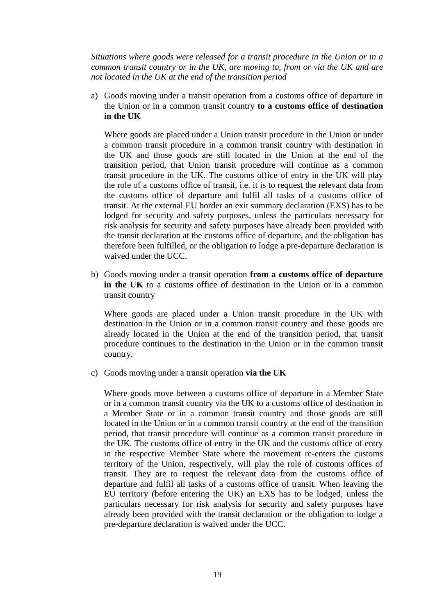*Situations where goods were released for a transit procedure in the Union or in a common transit country or in the UK, are moving to, from or via the UK and are not located in the UK at the end of the transition period*

a) Goods moving under a transit operation from a customs office of departure in the Union or in a common transit country **to a customs office of destination in the UK**

Where goods are placed under a Union transit procedure in the Union or under a common transit procedure in a common transit country with destination in the UK and those goods are still located in the Union at the end of the transition period, that Union transit procedure will continue as a common transit procedure in the UK. The customs office of entry in the UK will play the role of a customs office of transit, i.e. it is to request the relevant data from the customs office of departure and fulfil all tasks of a customs office of transit. At the external EU border an exit summary declaration (EXS) has to be lodged for security and safety purposes, unless the particulars necessary for risk analysis for security and safety purposes have already been provided with the transit declaration at the customs office of departure, and the obligation has therefore been fulfilled, or the obligation to lodge a pre-departure declaration is waived under the UCC.

b) Goods moving under a transit operation **from a customs office of departure in the UK** to a customs office of destination in the Union or in a common transit country

Where goods are placed under a Union transit procedure in the UK with destination in the Union or in a common transit country and those goods are already located in the Union at the end of the transition period, that transit procedure continues to the destination in the Union or in the common transit country.

c) Goods moving under a transit operation **via the UK**

Where goods move between a customs office of departure in a Member State or in a common transit country via the UK to a customs office of destination in a Member State or in a common transit country and those goods are still located in the Union or in a common transit country at the end of the transition period, that transit procedure will continue as a common transit procedure in the UK. The customs office of entry in the UK and the customs office of entry in the respective Member State where the movement re-enters the customs territory of the Union, respectively, will play the role of customs offices of transit. They are to request the relevant data from the customs office of departure and fulfil all tasks of a customs office of transit. When leaving the EU territory (before entering the UK) an EXS has to be lodged, unless the particulars necessary for risk analysis for security and safety purposes have already been provided with the transit declaration or the obligation to lodge a pre-departure declaration is waived under the UCC.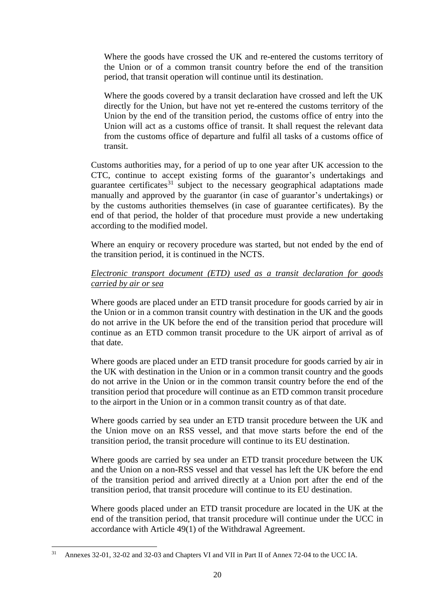Where the goods have crossed the UK and re-entered the customs territory of the Union or of a common transit country before the end of the transition period, that transit operation will continue until its destination.

Where the goods covered by a transit declaration have crossed and left the UK directly for the Union, but have not yet re-entered the customs territory of the Union by the end of the transition period, the customs office of entry into the Union will act as a customs office of transit. It shall request the relevant data from the customs office of departure and fulfil all tasks of a customs office of transit.

Customs authorities may, for a period of up to one year after UK accession to the CTC, continue to accept existing forms of the guarantor's undertakings and guarantee certificates<sup>31</sup> subject to the necessary geographical adaptations made manually and approved by the guarantor (in case of guarantor's undertakings) or by the customs authorities themselves (in case of guarantee certificates). By the end of that period, the holder of that procedure must provide a new undertaking according to the modified model.

Where an enquiry or recovery procedure was started, but not ended by the end of the transition period, it is continued in the NCTS.

# *Electronic transport document (ETD) used as a transit declaration for goods carried by air or sea*

Where goods are placed under an ETD transit procedure for goods carried by air in the Union or in a common transit country with destination in the UK and the goods do not arrive in the UK before the end of the transition period that procedure will continue as an ETD common transit procedure to the UK airport of arrival as of that date.

Where goods are placed under an ETD transit procedure for goods carried by air in the UK with destination in the Union or in a common transit country and the goods do not arrive in the Union or in the common transit country before the end of the transition period that procedure will continue as an ETD common transit procedure to the airport in the Union or in a common transit country as of that date.

Where goods carried by sea under an ETD transit procedure between the UK and the Union move on an RSS vessel, and that move starts before the end of the transition period, the transit procedure will continue to its EU destination.

Where goods are carried by sea under an ETD transit procedure between the UK and the Union on a non-RSS vessel and that vessel has left the UK before the end of the transition period and arrived directly at a Union port after the end of the transition period, that transit procedure will continue to its EU destination.

Where goods placed under an ETD transit procedure are located in the UK at the end of the transition period, that transit procedure will continue under the UCC in accordance with Article 49(1) of the Withdrawal Agreement.

<sup>1</sup> <sup>31</sup> Annexes 32-01, 32-02 and 32-03 and Chapters VI and VII in Part II of Annex 72-04 to the UCC IA.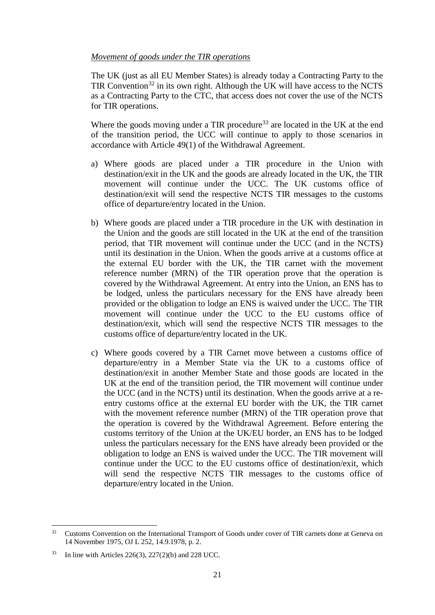### *Movement of goods under the TIR operations*

The UK (just as all EU Member States) is already today a Contracting Party to the TIR Convention<sup>32</sup> in its own right. Although the UK will have access to the NCTS as a Contracting Party to the CTC, that access does not cover the use of the NCTS for TIR operations.

Where the goods moving under a TIR procedure<sup>33</sup> are located in the UK at the end of the transition period, the UCC will continue to apply to those scenarios in accordance with Article 49(1) of the Withdrawal Agreement.

- a) Where goods are placed under a TIR procedure in the Union with destination/exit in the UK and the goods are already located in the UK, the TIR movement will continue under the UCC. The UK customs office of destination/exit will send the respective NCTS TIR messages to the customs office of departure/entry located in the Union.
- b) Where goods are placed under a TIR procedure in the UK with destination in the Union and the goods are still located in the UK at the end of the transition period, that TIR movement will continue under the UCC (and in the NCTS) until its destination in the Union. When the goods arrive at a customs office at the external EU border with the UK, the TIR carnet with the movement reference number (MRN) of the TIR operation prove that the operation is covered by the Withdrawal Agreement. At entry into the Union, an ENS has to be lodged, unless the particulars necessary for the ENS have already been provided or the obligation to lodge an ENS is waived under the UCC. The TIR movement will continue under the UCC to the EU customs office of destination/exit, which will send the respective NCTS TIR messages to the customs office of departure/entry located in the UK.
- c) Where goods covered by a TIR Carnet move between a customs office of departure/entry in a Member State via the UK to a customs office of destination/exit in another Member State and those goods are located in the UK at the end of the transition period, the TIR movement will continue under the UCC (and in the NCTS) until its destination. When the goods arrive at a reentry customs office at the external EU border with the UK, the TIR carnet with the movement reference number (MRN) of the TIR operation prove that the operation is covered by the Withdrawal Agreement. Before entering the customs territory of the Union at the UK/EU border, an ENS has to be lodged unless the particulars necessary for the ENS have already been provided or the obligation to lodge an ENS is waived under the UCC. The TIR movement will continue under the UCC to the EU customs office of destination/exit, which will send the respective NCTS TIR messages to the customs office of departure/entry located in the Union.

 $32$ <sup>32</sup> Customs Convention on the International Transport of Goods under cover of TIR carnets done at Geneva on 14 November 1975, OJ L 252, 14.9.1978, p. 2.

<sup>33</sup> In line with Articles 226(3), 227(2)(b) and 228 UCC.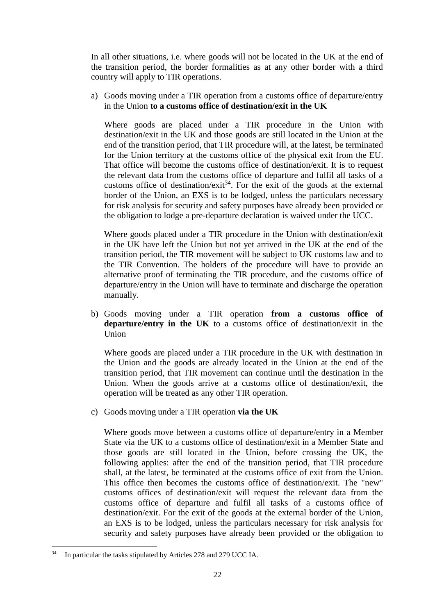In all other situations, i.e. where goods will not be located in the UK at the end of the transition period, the border formalities as at any other border with a third country will apply to TIR operations.

a) Goods moving under a TIR operation from a customs office of departure/entry in the Union **to a customs office of destination/exit in the UK**

Where goods are placed under a TIR procedure in the Union with destination/exit in the UK and those goods are still located in the Union at the end of the transition period, that TIR procedure will, at the latest, be terminated for the Union territory at the customs office of the physical exit from the EU. That office will become the customs office of destination/exit. It is to request the relevant data from the customs office of departure and fulfil all tasks of a customs office of destination/exit<sup>34</sup>. For the exit of the goods at the external border of the Union, an EXS is to be lodged, unless the particulars necessary for risk analysis for security and safety purposes have already been provided or the obligation to lodge a pre-departure declaration is waived under the UCC.

Where goods placed under a TIR procedure in the Union with destination/exit in the UK have left the Union but not yet arrived in the UK at the end of the transition period, the TIR movement will be subject to UK customs law and to the TIR Convention. The holders of the procedure will have to provide an alternative proof of terminating the TIR procedure, and the customs office of departure/entry in the Union will have to terminate and discharge the operation manually.

b) Goods moving under a TIR operation **from a customs office of departure/entry in the UK** to a customs office of destination/exit in the Union

Where goods are placed under a TIR procedure in the UK with destination in the Union and the goods are already located in the Union at the end of the transition period, that TIR movement can continue until the destination in the Union. When the goods arrive at a customs office of destination/exit, the operation will be treated as any other TIR operation.

c) Goods moving under a TIR operation **via the UK**

Where goods move between a customs office of departure/entry in a Member State via the UK to a customs office of destination/exit in a Member State and those goods are still located in the Union, before crossing the UK, the following applies: after the end of the transition period, that TIR procedure shall, at the latest, be terminated at the customs office of exit from the Union. This office then becomes the customs office of destination/exit. The "new" customs offices of destination/exit will request the relevant data from the customs office of departure and fulfil all tasks of a customs office of destination/exit. For the exit of the goods at the external border of the Union, an EXS is to be lodged, unless the particulars necessary for risk analysis for security and safety purposes have already been provided or the obligation to

1

In particular the tasks stipulated by Articles 278 and 279 UCC IA.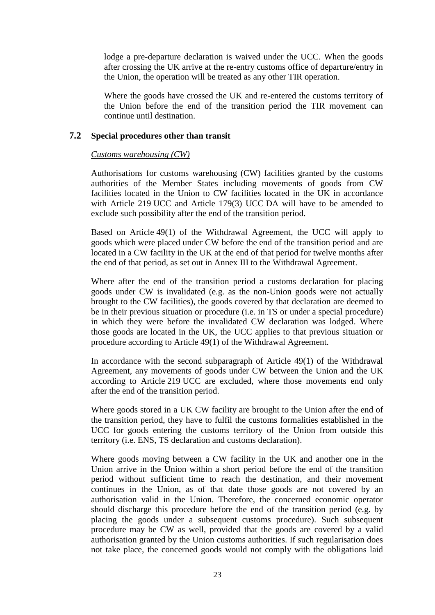lodge a pre-departure declaration is waived under the UCC. When the goods after crossing the UK arrive at the re-entry customs office of departure/entry in the Union, the operation will be treated as any other TIR operation.

Where the goods have crossed the UK and re-entered the customs territory of the Union before the end of the transition period the TIR movement can continue until destination.

# <span id="page-22-0"></span>**7.2 Special procedures other than transit**

### *Customs warehousing (CW)*

Authorisations for customs warehousing (CW) facilities granted by the customs authorities of the Member States including movements of goods from CW facilities located in the Union to CW facilities located in the UK in accordance with Article 219 UCC and Article 179(3) UCC DA will have to be amended to exclude such possibility after the end of the transition period.

Based on Article 49(1) of the Withdrawal Agreement, the UCC will apply to goods which were placed under CW before the end of the transition period and are located in a CW facility in the UK at the end of that period for twelve months after the end of that period, as set out in Annex III to the Withdrawal Agreement.

Where after the end of the transition period a customs declaration for placing goods under CW is invalidated (e.g. as the non-Union goods were not actually brought to the CW facilities), the goods covered by that declaration are deemed to be in their previous situation or procedure (i.e. in TS or under a special procedure) in which they were before the invalidated CW declaration was lodged. Where those goods are located in the UK, the UCC applies to that previous situation or procedure according to Article 49(1) of the Withdrawal Agreement.

In accordance with the second subparagraph of Article 49(1) of the Withdrawal Agreement, any movements of goods under CW between the Union and the UK according to Article 219 UCC are excluded, where those movements end only after the end of the transition period.

Where goods stored in a UK CW facility are brought to the Union after the end of the transition period, they have to fulfil the customs formalities established in the UCC for goods entering the customs territory of the Union from outside this territory (i.e. ENS, TS declaration and customs declaration).

Where goods moving between a CW facility in the UK and another one in the Union arrive in the Union within a short period before the end of the transition period without sufficient time to reach the destination, and their movement continues in the Union, as of that date those goods are not covered by an authorisation valid in the Union. Therefore, the concerned economic operator should discharge this procedure before the end of the transition period (e.g. by placing the goods under a subsequent customs procedure). Such subsequent procedure may be CW as well, provided that the goods are covered by a valid authorisation granted by the Union customs authorities. If such regularisation does not take place, the concerned goods would not comply with the obligations laid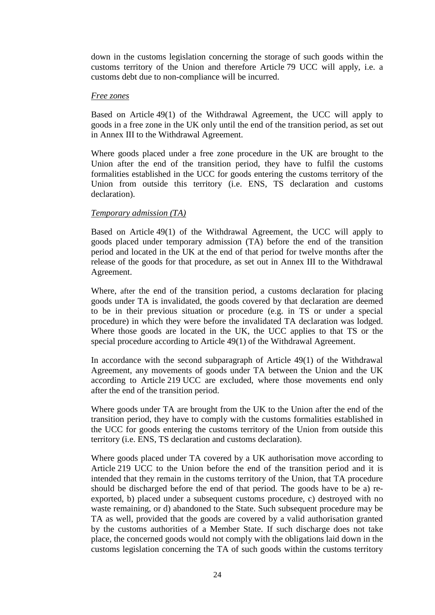down in the customs legislation concerning the storage of such goods within the customs territory of the Union and therefore Article 79 UCC will apply, i.e. a customs debt due to non-compliance will be incurred.

#### *Free zones*

Based on Article 49(1) of the Withdrawal Agreement, the UCC will apply to goods in a free zone in the UK only until the end of the transition period, as set out in Annex III to the Withdrawal Agreement.

Where goods placed under a free zone procedure in the UK are brought to the Union after the end of the transition period, they have to fulfil the customs formalities established in the UCC for goods entering the customs territory of the Union from outside this territory (i.e. ENS, TS declaration and customs declaration).

## *Temporary admission (TA)*

Based on Article 49(1) of the Withdrawal Agreement, the UCC will apply to goods placed under temporary admission (TA) before the end of the transition period and located in the UK at the end of that period for twelve months after the release of the goods for that procedure, as set out in Annex III to the Withdrawal Agreement.

Where, after the end of the transition period, a customs declaration for placing goods under TA is invalidated, the goods covered by that declaration are deemed to be in their previous situation or procedure (e.g. in TS or under a special procedure) in which they were before the invalidated TA declaration was lodged. Where those goods are located in the UK, the UCC applies to that TS or the special procedure according to Article 49(1) of the Withdrawal Agreement.

In accordance with the second subparagraph of Article 49(1) of the Withdrawal Agreement, any movements of goods under TA between the Union and the UK according to Article 219 UCC are excluded, where those movements end only after the end of the transition period.

Where goods under TA are brought from the UK to the Union after the end of the transition period, they have to comply with the customs formalities established in the UCC for goods entering the customs territory of the Union from outside this territory (i.e. ENS, TS declaration and customs declaration).

Where goods placed under TA covered by a UK authorisation move according to Article 219 UCC to the Union before the end of the transition period and it is intended that they remain in the customs territory of the Union, that TA procedure should be discharged before the end of that period. The goods have to be a) reexported, b) placed under a subsequent customs procedure, c) destroyed with no waste remaining, or d) abandoned to the State. Such subsequent procedure may be TA as well, provided that the goods are covered by a valid authorisation granted by the customs authorities of a Member State. If such discharge does not take place, the concerned goods would not comply with the obligations laid down in the customs legislation concerning the TA of such goods within the customs territory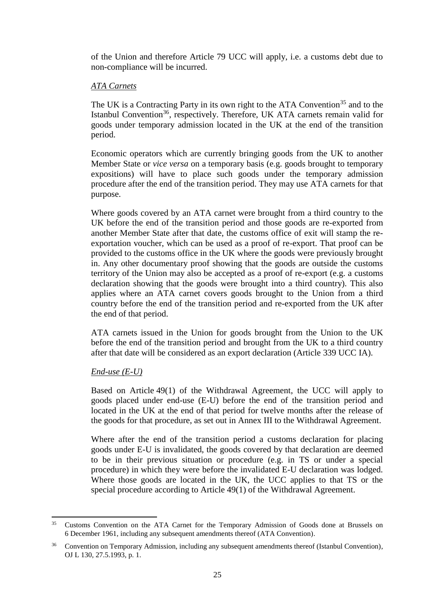of the Union and therefore Article 79 UCC will apply, i.e. a customs debt due to non-compliance will be incurred.

# *ATA Carnets*

The UK is a Contracting Party in its own right to the ATA Convention<sup>35</sup> and to the Istanbul Convention<sup>36</sup>, respectively. Therefore, UK ATA carnets remain valid for goods under temporary admission located in the UK at the end of the transition period.

Economic operators which are currently bringing goods from the UK to another Member State or *vice versa* on a temporary basis (e.g. goods brought to temporary expositions) will have to place such goods under the temporary admission procedure after the end of the transition period. They may use ATA carnets for that purpose.

Where goods covered by an ATA carnet were brought from a third country to the UK before the end of the transition period and those goods are re-exported from another Member State after that date, the customs office of exit will stamp the reexportation voucher, which can be used as a proof of re-export. That proof can be provided to the customs office in the UK where the goods were previously brought in. Any other documentary proof showing that the goods are outside the customs territory of the Union may also be accepted as a proof of re-export (e.g. a customs declaration showing that the goods were brought into a third country). This also applies where an ATA carnet covers goods brought to the Union from a third country before the end of the transition period and re-exported from the UK after the end of that period.

ATA carnets issued in the Union for goods brought from the Union to the UK before the end of the transition period and brought from the UK to a third country after that date will be considered as an export declaration (Article 339 UCC IA).

### *End-use (E-U)*

Based on Article 49(1) of the Withdrawal Agreement, the UCC will apply to goods placed under end-use (E-U) before the end of the transition period and located in the UK at the end of that period for twelve months after the release of the goods for that procedure, as set out in Annex III to the Withdrawal Agreement.

Where after the end of the transition period a customs declaration for placing goods under E-U is invalidated, the goods covered by that declaration are deemed to be in their previous situation or procedure (e.g. in TS or under a special procedure) in which they were before the invalidated E-U declaration was lodged. Where those goods are located in the UK, the UCC applies to that TS or the special procedure according to Article 49(1) of the Withdrawal Agreement.

 $35<sup>1</sup>$ <sup>35</sup> Customs Convention on the ATA Carnet for the Temporary Admission of Goods done at Brussels on 6 December 1961, including any subsequent amendments thereof (ATA Convention).

<sup>&</sup>lt;sup>36</sup> Convention on Temporary Admission, including any subsequent amendments thereof (Istanbul Convention), OJ L 130, 27.5.1993, p. 1.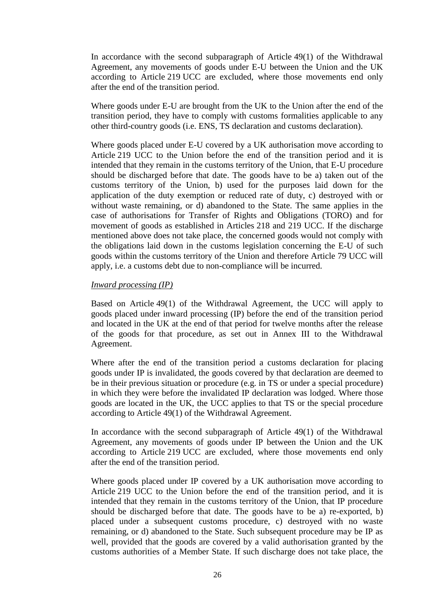In accordance with the second subparagraph of Article 49(1) of the Withdrawal Agreement, any movements of goods under E-U between the Union and the UK according to Article 219 UCC are excluded, where those movements end only after the end of the transition period.

Where goods under E-U are brought from the UK to the Union after the end of the transition period, they have to comply with customs formalities applicable to any other third-country goods (i.e. ENS, TS declaration and customs declaration).

Where goods placed under E-U covered by a UK authorisation move according to Article 219 UCC to the Union before the end of the transition period and it is intended that they remain in the customs territory of the Union, that E-U procedure should be discharged before that date. The goods have to be a) taken out of the customs territory of the Union, b) used for the purposes laid down for the application of the duty exemption or reduced rate of duty, c) destroyed with or without waste remaining, or d) abandoned to the State. The same applies in the case of authorisations for Transfer of Rights and Obligations (TORO) and for movement of goods as established in Articles 218 and 219 UCC. If the discharge mentioned above does not take place, the concerned goods would not comply with the obligations laid down in the customs legislation concerning the E-U of such goods within the customs territory of the Union and therefore Article 79 UCC will apply, i.e. a customs debt due to non-compliance will be incurred.

### *Inward processing (IP)*

Based on Article 49(1) of the Withdrawal Agreement, the UCC will apply to goods placed under inward processing (IP) before the end of the transition period and located in the UK at the end of that period for twelve months after the release of the goods for that procedure, as set out in Annex III to the Withdrawal Agreement.

Where after the end of the transition period a customs declaration for placing goods under IP is invalidated, the goods covered by that declaration are deemed to be in their previous situation or procedure (e.g. in TS or under a special procedure) in which they were before the invalidated IP declaration was lodged. Where those goods are located in the UK, the UCC applies to that TS or the special procedure according to Article 49(1) of the Withdrawal Agreement.

In accordance with the second subparagraph of Article 49(1) of the Withdrawal Agreement, any movements of goods under IP between the Union and the UK according to Article 219 UCC are excluded, where those movements end only after the end of the transition period.

Where goods placed under IP covered by a UK authorisation move according to Article 219 UCC to the Union before the end of the transition period, and it is intended that they remain in the customs territory of the Union, that IP procedure should be discharged before that date. The goods have to be a) re-exported, b) placed under a subsequent customs procedure, c) destroyed with no waste remaining, or d) abandoned to the State. Such subsequent procedure may be IP as well, provided that the goods are covered by a valid authorisation granted by the customs authorities of a Member State. If such discharge does not take place, the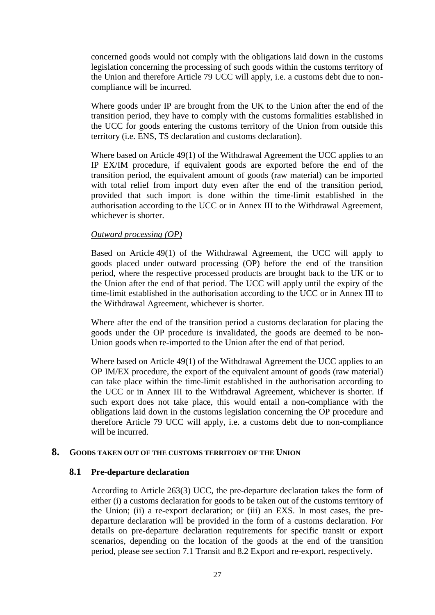concerned goods would not comply with the obligations laid down in the customs legislation concerning the processing of such goods within the customs territory of the Union and therefore Article 79 UCC will apply, i.e. a customs debt due to noncompliance will be incurred.

Where goods under IP are brought from the UK to the Union after the end of the transition period, they have to comply with the customs formalities established in the UCC for goods entering the customs territory of the Union from outside this territory (i.e. ENS, TS declaration and customs declaration).

Where based on Article 49(1) of the Withdrawal Agreement the UCC applies to an IP EX/IM procedure, if equivalent goods are exported before the end of the transition period, the equivalent amount of goods (raw material) can be imported with total relief from import duty even after the end of the transition period, provided that such import is done within the time-limit established in the authorisation according to the UCC or in Annex III to the Withdrawal Agreement, whichever is shorter.

#### *Outward processing (OP)*

Based on Article 49(1) of the Withdrawal Agreement, the UCC will apply to goods placed under outward processing (OP) before the end of the transition period, where the respective processed products are brought back to the UK or to the Union after the end of that period. The UCC will apply until the expiry of the time-limit established in the authorisation according to the UCC or in Annex III to the Withdrawal Agreement, whichever is shorter.

Where after the end of the transition period a customs declaration for placing the goods under the OP procedure is invalidated, the goods are deemed to be non-Union goods when re-imported to the Union after the end of that period.

Where based on Article 49(1) of the Withdrawal Agreement the UCC applies to an OP IM/EX procedure, the export of the equivalent amount of goods (raw material) can take place within the time-limit established in the authorisation according to the UCC or in Annex III to the Withdrawal Agreement, whichever is shorter. If such export does not take place, this would entail a non-compliance with the obligations laid down in the customs legislation concerning the OP procedure and therefore Article 79 UCC will apply, i.e. a customs debt due to non-compliance will be incurred.

### <span id="page-26-1"></span><span id="page-26-0"></span>**8. GOODS TAKEN OUT OF THE CUSTOMS TERRITORY OF THE UNION**

### **8.1 Pre-departure declaration**

According to Article 263(3) UCC, the pre-departure declaration takes the form of either (i) a customs declaration for goods to be taken out of the customs territory of the Union; (ii) a re-export declaration; or (iii) an EXS. In most cases, the predeparture declaration will be provided in the form of a customs declaration. For details on pre-departure declaration requirements for specific transit or export scenarios, depending on the location of the goods at the end of the transition period, please see section 7.1 Transit and 8.2 Export and re-export, respectively.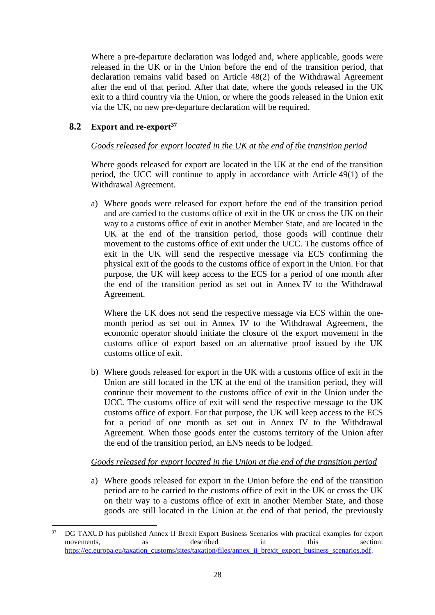Where a pre-departure declaration was lodged and, where applicable, goods were released in the UK or in the Union before the end of the transition period, that declaration remains valid based on Article 48(2) of the Withdrawal Agreement after the end of that period. After that date, where the goods released in the UK exit to a third country via the Union, or where the goods released in the Union exit via the UK, no new pre-departure declaration will be required.

# <span id="page-27-0"></span>**8.2 Export and re-export<sup>37</sup>**

# *Goods released for export located in the UK at the end of the transition period*

Where goods released for export are located in the UK at the end of the transition period, the UCC will continue to apply in accordance with Article 49(1) of the Withdrawal Agreement.

a) Where goods were released for export before the end of the transition period and are carried to the customs office of exit in the UK or cross the UK on their way to a customs office of exit in another Member State, and are located in the UK at the end of the transition period, those goods will continue their movement to the customs office of exit under the UCC. The customs office of exit in the UK will send the respective message via ECS confirming the physical exit of the goods to the customs office of export in the Union. For that purpose, the UK will keep access to the ECS for a period of one month after the end of the transition period as set out in Annex IV to the Withdrawal Agreement.

Where the UK does not send the respective message via ECS within the onemonth period as set out in Annex IV to the Withdrawal Agreement, the economic operator should initiate the closure of the export movement in the customs office of export based on an alternative proof issued by the UK customs office of exit.

b) Where goods released for export in the UK with a customs office of exit in the Union are still located in the UK at the end of the transition period, they will continue their movement to the customs office of exit in the Union under the UCC. The customs office of exit will send the respective message to the UK customs office of export. For that purpose, the UK will keep access to the ECS for a period of one month as set out in Annex IV to the Withdrawal Agreement. When those goods enter the customs territory of the Union after the end of the transition period, an ENS needs to be lodged.

# *Goods released for export located in the Union at the end of the transition period*

a) Where goods released for export in the Union before the end of the transition period are to be carried to the customs office of exit in the UK or cross the UK on their way to a customs office of exit in another Member State, and those goods are still located in the Union at the end of that period, the previously

 $37$ <sup>37</sup> DG TAXUD has published Annex II Brexit Export Business Scenarios with practical examples for export movements, as described in this section: [https://ec.europa.eu/taxation\\_customs/sites/taxation/files/annex\\_ii\\_brexit\\_export\\_business\\_scenarios.pdf.](https://ec.europa.eu/taxation_customs/sites/taxation/files/annex_ii_brexit_export_business_scenarios.pdf)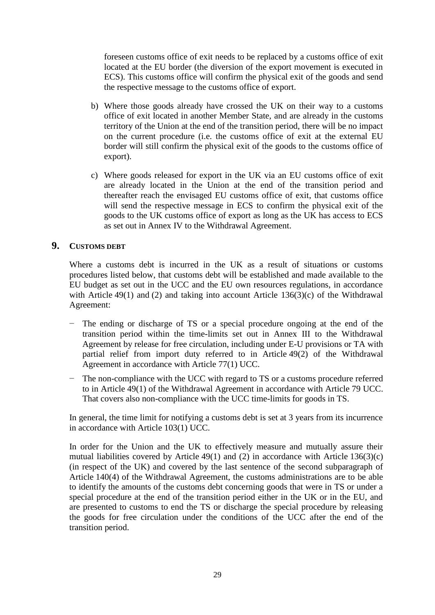foreseen customs office of exit needs to be replaced by a customs office of exit located at the EU border (the diversion of the export movement is executed in ECS). This customs office will confirm the physical exit of the goods and send the respective message to the customs office of export.

- b) Where those goods already have crossed the UK on their way to a customs office of exit located in another Member State, and are already in the customs territory of the Union at the end of the transition period, there will be no impact on the current procedure (i.e. the customs office of exit at the external EU border will still confirm the physical exit of the goods to the customs office of export).
- c) Where goods released for export in the UK via an EU customs office of exit are already located in the Union at the end of the transition period and thereafter reach the envisaged EU customs office of exit, that customs office will send the respective message in ECS to confirm the physical exit of the goods to the UK customs office of export as long as the UK has access to ECS as set out in Annex IV to the Withdrawal Agreement.

# <span id="page-28-0"></span>**9. CUSTOMS DEBT**

Where a customs debt is incurred in the UK as a result of situations or customs procedures listed below, that customs debt will be established and made available to the EU budget as set out in the UCC and the EU own resources regulations, in accordance with Article 49(1) and (2) and taking into account Article 136(3)(c) of the Withdrawal Agreement:

- The ending or discharge of TS or a special procedure ongoing at the end of the transition period within the time-limits set out in Annex III to the Withdrawal Agreement by release for free circulation, including under E-U provisions or TA with partial relief from import duty referred to in Article 49(2) of the Withdrawal Agreement in accordance with Article 77(1) UCC.
- − The non-compliance with the UCC with regard to TS or a customs procedure referred to in Article 49(1) of the Withdrawal Agreement in accordance with Article 79 UCC. That covers also non-compliance with the UCC time-limits for goods in TS.

In general, the time limit for notifying a customs debt is set at 3 years from its incurrence in accordance with Article 103(1) UCC.

In order for the Union and the UK to effectively measure and mutually assure their mutual liabilities covered by Article 49(1) and (2) in accordance with Article  $136(3)(c)$ (in respect of the UK) and covered by the last sentence of the second subparagraph of Article 140(4) of the Withdrawal Agreement, the customs administrations are to be able to identify the amounts of the customs debt concerning goods that were in TS or under a special procedure at the end of the transition period either in the UK or in the EU, and are presented to customs to end the TS or discharge the special procedure by releasing the goods for free circulation under the conditions of the UCC after the end of the transition period.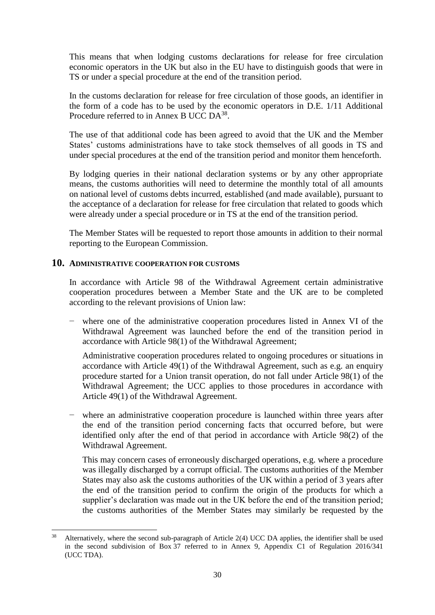This means that when lodging customs declarations for release for free circulation economic operators in the UK but also in the EU have to distinguish goods that were in TS or under a special procedure at the end of the transition period.

In the customs declaration for release for free circulation of those goods, an identifier in the form of a code has to be used by the economic operators in D.E. 1/11 Additional Procedure referred to in Annex B UCC DA<sup>38</sup>.

The use of that additional code has been agreed to avoid that the UK and the Member States' customs administrations have to take stock themselves of all goods in TS and under special procedures at the end of the transition period and monitor them henceforth.

By lodging queries in their national declaration systems or by any other appropriate means, the customs authorities will need to determine the monthly total of all amounts on national level of customs debts incurred, established (and made available), pursuant to the acceptance of a declaration for release for free circulation that related to goods which were already under a special procedure or in TS at the end of the transition period.

The Member States will be requested to report those amounts in addition to their normal reporting to the European Commission.

## <span id="page-29-0"></span>**10. ADMINISTRATIVE COOPERATION FOR CUSTOMS**

In accordance with Article 98 of the Withdrawal Agreement certain administrative cooperation procedures between a Member State and the UK are to be completed according to the relevant provisions of Union law:

where one of the administrative cooperation procedures listed in Annex VI of the Withdrawal Agreement was launched before the end of the transition period in accordance with Article 98(1) of the Withdrawal Agreement;

Administrative cooperation procedures related to ongoing procedures or situations in accordance with Article 49(1) of the Withdrawal Agreement, such as e.g. an enquiry procedure started for a Union transit operation, do not fall under Article 98(1) of the Withdrawal Agreement; the UCC applies to those procedures in accordance with Article 49(1) of the Withdrawal Agreement.

where an administrative cooperation procedure is launched within three years after the end of the transition period concerning facts that occurred before, but were identified only after the end of that period in accordance with Article 98(2) of the Withdrawal Agreement.

This may concern cases of erroneously discharged operations, e.g. where a procedure was illegally discharged by a corrupt official. The customs authorities of the Member States may also ask the customs authorities of the UK within a period of 3 years after the end of the transition period to confirm the origin of the products for which a supplier's declaration was made out in the UK before the end of the transition period; the customs authorities of the Member States may similarly be requested by the

**<sup>.</sup>** <sup>38</sup> Alternatively, where the second sub-paragraph of Article 2(4) UCC DA applies, the identifier shall be used in the second subdivision of Box 37 referred to in Annex 9, Appendix C1 of Regulation 2016/341 (UCC TDA).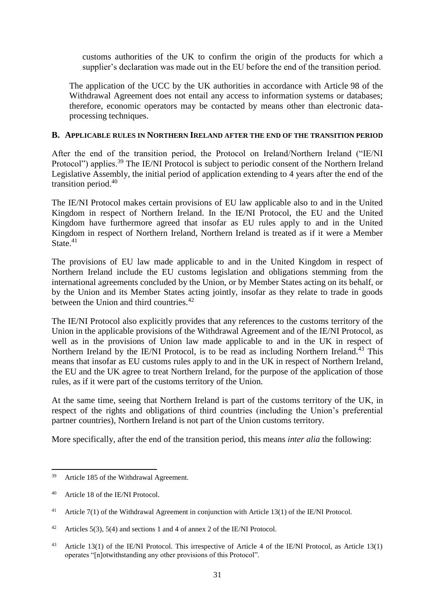customs authorities of the UK to confirm the origin of the products for which a supplier's declaration was made out in the EU before the end of the transition period.

The application of the UCC by the UK authorities in accordance with Article 98 of the Withdrawal Agreement does not entail any access to information systems or databases: therefore, economic operators may be contacted by means other than electronic dataprocessing techniques.

### <span id="page-30-0"></span>**B. APPLICABLE RULES IN NORTHERN IRELAND AFTER THE END OF THE TRANSITION PERIOD**

After the end of the transition period, the Protocol on Ireland/Northern Ireland ("IE/NI Protocol") applies.<sup>39</sup> The IE/NI Protocol is subject to periodic consent of the Northern Ireland Legislative Assembly, the initial period of application extending to 4 years after the end of the transition period.<sup>40</sup>

The IE/NI Protocol makes certain provisions of EU law applicable also to and in the United Kingdom in respect of Northern Ireland. In the IE/NI Protocol, the EU and the United Kingdom have furthermore agreed that insofar as EU rules apply to and in the United Kingdom in respect of Northern Ireland, Northern Ireland is treated as if it were a Member State $.41$ 

The provisions of EU law made applicable to and in the United Kingdom in respect of Northern Ireland include the EU customs legislation and obligations stemming from the international agreements concluded by the Union, or by Member States acting on its behalf, or by the Union and its Member States acting jointly, insofar as they relate to trade in goods between the Union and third countries.<sup>42</sup>

The IE/NI Protocol also explicitly provides that any references to the customs territory of the Union in the applicable provisions of the Withdrawal Agreement and of the IE/NI Protocol, as well as in the provisions of Union law made applicable to and in the UK in respect of Northern Ireland by the IE/NI Protocol, is to be read as including Northern Ireland.<sup>43</sup> This means that insofar as EU customs rules apply to and in the UK in respect of Northern Ireland, the EU and the UK agree to treat Northern Ireland, for the purpose of the application of those rules, as if it were part of the customs territory of the Union.

At the same time, seeing that Northern Ireland is part of the customs territory of the UK, in respect of the rights and obligations of third countries (including the Union's preferential partner countries), Northern Ireland is not part of the Union customs territory.

More specifically, after the end of the transition period, this means *inter alia* the following:

 $\overline{a}$ 

<sup>39</sup> Article 185 of the Withdrawal Agreement.

<sup>40</sup> Article 18 of the IE/NI Protocol.

<sup>&</sup>lt;sup>41</sup> Article 7(1) of the Withdrawal Agreement in conjunction with Article 13(1) of the IE/NI Protocol.

<sup>&</sup>lt;sup>42</sup> Articles 5(3), 5(4) and sections 1 and 4 of annex 2 of the IE/NI Protocol.

<sup>&</sup>lt;sup>43</sup> Article 13(1) of the IE/NI Protocol. This irrespective of Article 4 of the IE/NI Protocol, as Article 13(1) operates "[n]otwithstanding any other provisions of this Protocol".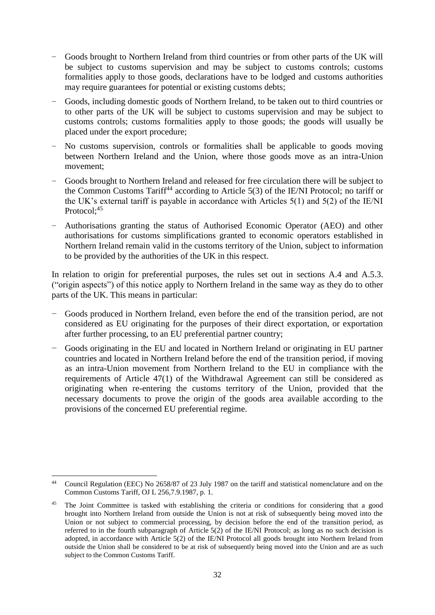- − Goods brought to Northern Ireland from third countries or from other parts of the UK will be subject to customs supervision and may be subject to customs controls; customs formalities apply to those goods, declarations have to be lodged and customs authorities may require guarantees for potential or existing customs debts;
- − Goods, including domestic goods of Northern Ireland, to be taken out to third countries or to other parts of the UK will be subject to customs supervision and may be subject to customs controls; customs formalities apply to those goods; the goods will usually be placed under the export procedure;
- No customs supervision, controls or formalities shall be applicable to goods moving between Northern Ireland and the Union, where those goods move as an intra-Union movement;
- Goods brought to Northern Ireland and released for free circulation there will be subject to the Common Customs Tariff<sup>44</sup> according to Article  $5(3)$  of the IE/NI Protocol; no tariff or the UK's external tariff is payable in accordance with Articles 5(1) and 5(2) of the IE/NI Protocol:<sup>45</sup>
- − Authorisations granting the status of Authorised Economic Operator (AEO) and other authorisations for customs simplifications granted to economic operators established in Northern Ireland remain valid in the customs territory of the Union, subject to information to be provided by the authorities of the UK in this respect.

In relation to origin for preferential purposes, the rules set out in sections A[.4](#page-7-2) and A.5.3. ("origin aspects") of this notice apply to Northern Ireland in the same way as they do to other parts of the UK. This means in particular:

- − Goods produced in Northern Ireland, even before the end of the transition period, are not considered as EU originating for the purposes of their direct exportation, or exportation after further processing, to an EU preferential partner country;
- − Goods originating in the EU and located in Northern Ireland or originating in EU partner countries and located in Northern Ireland before the end of the transition period, if moving as an intra-Union movement from Northern Ireland to the EU in compliance with the requirements of Article 47(1) of the Withdrawal Agreement can still be considered as originating when re-entering the customs territory of the Union, provided that the necessary documents to prove the origin of the goods area available according to the provisions of the concerned EU preferential regime.

**<sup>.</sup>** <sup>44</sup> Council Regulation (EEC) No 2658/87 of 23 July 1987 on the tariff and statistical nomenclature and on the Common Customs Tariff, OJ L 256,7.9.1987, p. 1.

The Joint Committee is tasked with establishing the criteria or conditions for considering that a good brought into Northern Ireland from outside the Union is not at risk of subsequently being moved into the Union or not subject to commercial processing, by decision before the end of the transition period, as referred to in the fourth subparagraph of Article 5(2) of the IE/NI Protocol; as long as no such decision is adopted, in accordance with Article 5(2) of the IE/NI Protocol all goods brought into Northern Ireland from outside the Union shall be considered to be at risk of subsequently being moved into the Union and are as such subject to the Common Customs Tariff.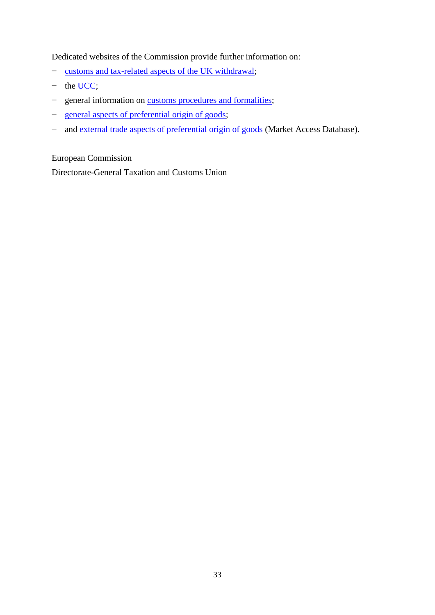Dedicated websites of the Commission provide further information on:

- − [customs and tax-related aspects of the UK withdrawal;](https://ec.europa.eu/taxation_customs/uk_withdrawal_en)
- − the [UCC;](https://ec.europa.eu/taxation_customs/business/union-customs-code_en)
- − general information on customs [procedures and formalities;](https://ec.europa.eu/taxation_customs/customs_en)
- − [general aspects of preferential origin of goods;](https://ec.europa.eu/taxation_customs/business/calculation-customs-duties/rules-origin/general-aspects-preferential-origin_en)
- − and [external trade aspects of preferential origin of goods](http://madb.europa.eu/madb/rulesoforigin_preferential.htm) (Market Access Database).

European Commission

Directorate-General Taxation and Customs Union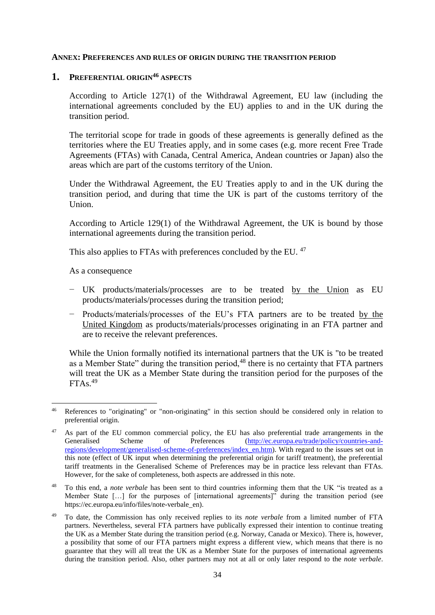#### <span id="page-33-0"></span>**ANNEX: PREFERENCES AND RULES OF ORIGIN DURING THE TRANSITION PERIOD**

# <span id="page-33-1"></span>**1. PREFERENTIAL ORIGIN<sup>46</sup> ASPECTS**

According to Article 127(1) of the Withdrawal Agreement, EU law (including the international agreements concluded by the EU) applies to and in the UK during the transition period.

The territorial scope for trade in goods of these agreements is generally defined as the territories where the EU Treaties apply, and in some cases (e.g. more recent Free Trade Agreements (FTAs) with Canada, Central America, Andean countries or Japan) also the areas which are part of the customs territory of the Union.

Under the Withdrawal Agreement, the EU Treaties apply to and in the UK during the transition period, and during that time the UK is part of the customs territory of the Union.

According to Article 129(1) of the Withdrawal Agreement, the UK is bound by those international agreements during the transition period.

This also applies to FTAs with preferences concluded by the EU.<sup>47</sup>

As a consequence

**.** 

- − UK products/materials/processes are to be treated by the Union as EU products/materials/processes during the transition period;
- − Products/materials/processes of the EU's FTA partners are to be treated by the United Kingdom as products/materials/processes originating in an FTA partner and are to receive the relevant preferences.

While the Union formally notified its international partners that the UK is "to be treated as a Member State" during the transition period,<sup>48</sup> there is no certainty that FTA partners will treat the UK as a Member State during the transition period for the purposes of the  $FTAs.<sup>49</sup>$ 

<sup>46</sup> References to "originating" or "non-originating" in this section should be considered only in relation to preferential origin.

<sup>&</sup>lt;sup>47</sup> As part of the EU common commercial policy, the EU has also preferential trade arrangements in the Generalised Scheme of Preferences [\(http://ec.europa.eu/trade/policy/countries-and](http://ec.europa.eu/trade/policy/countries-and-regions/development/generalised-scheme-of-preferences/index_en.htm)[regions/development/generalised-scheme-of-preferences/index\\_en.htm\)](http://ec.europa.eu/trade/policy/countries-and-regions/development/generalised-scheme-of-preferences/index_en.htm). With regard to the issues set out in this note (effect of UK input when determining the preferential origin for tariff treatment), the preferential tariff treatments in the Generalised Scheme of Preferences may be in practice less relevant than FTAs. However, for the sake of completeness, both aspects are addressed in this note.

<sup>48</sup> To this end, a *note verbale* has been sent to third countries informing them that the UK "is treated as a Member State […] for the purposes of [international agreements]" during the transition period (see [https://ec.europa.eu/info/files/note-verbale\\_en\)](https://ec.europa.eu/info/files/note-verbale_en).

<sup>49</sup> To date, the Commission has only received replies to its *note verbale* from a limited number of FTA partners. Nevertheless, several FTA partners have publically expressed their intention to continue treating the UK as a Member State during the transition period (e.g. Norway, Canada or Mexico). There is, however, a possibility that some of our FTA partners might express a different view, which means that there is no guarantee that they will all treat the UK as a Member State for the purposes of international agreements during the transition period. Also, other partners may not at all or only later respond to the *note verbale*.